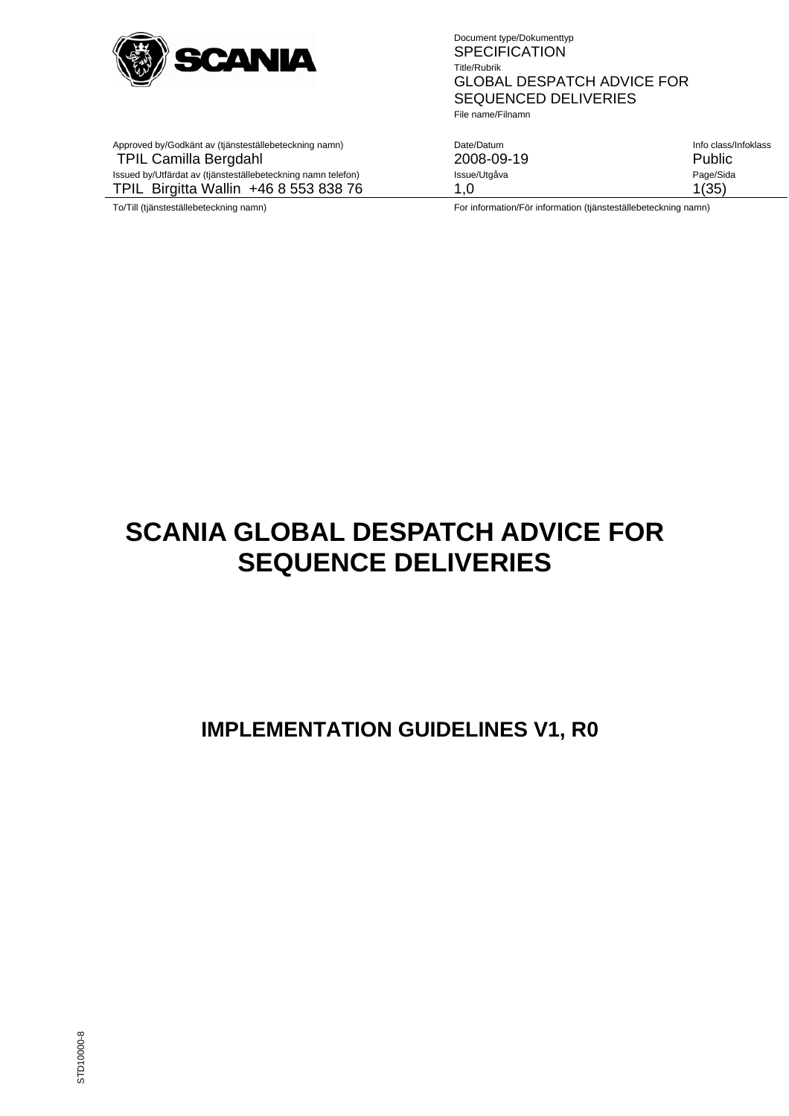

File name/Filnamn

| Date/Datum<br>2008-09-19                                                                                                                                                                                                          | Info class/Infoklass<br>Public |
|-----------------------------------------------------------------------------------------------------------------------------------------------------------------------------------------------------------------------------------|--------------------------------|
| Issue/Utgåva                                                                                                                                                                                                                      | Page/Sida                      |
| 1.0                                                                                                                                                                                                                               | 1(35)                          |
| $\mathbf{r}$ . The contract of the contract of the contract of the contract of the contract of the contract of the contract of the contract of the contract of the contract of the contract of the contract of the contract of th |                                |

Approved by/Godkänt av (tjänsteställebeteckning namn) TPIL Camilla Bergdahl

Issued by/Utfärdat av (tjänsteställebeteckning namn telefon) TPIL Birgitta Wallin +46 8 553 838 76

To/Till (tjänsteställebeteckning namn) For information/För information (tjänsteställebeteckning namn)

# **SCANIA GLOBAL DESPATCH ADVICE FOR SEQUENCE DELIVERIES**

# **IMPLEMENTATION GUIDELINES V1, R0**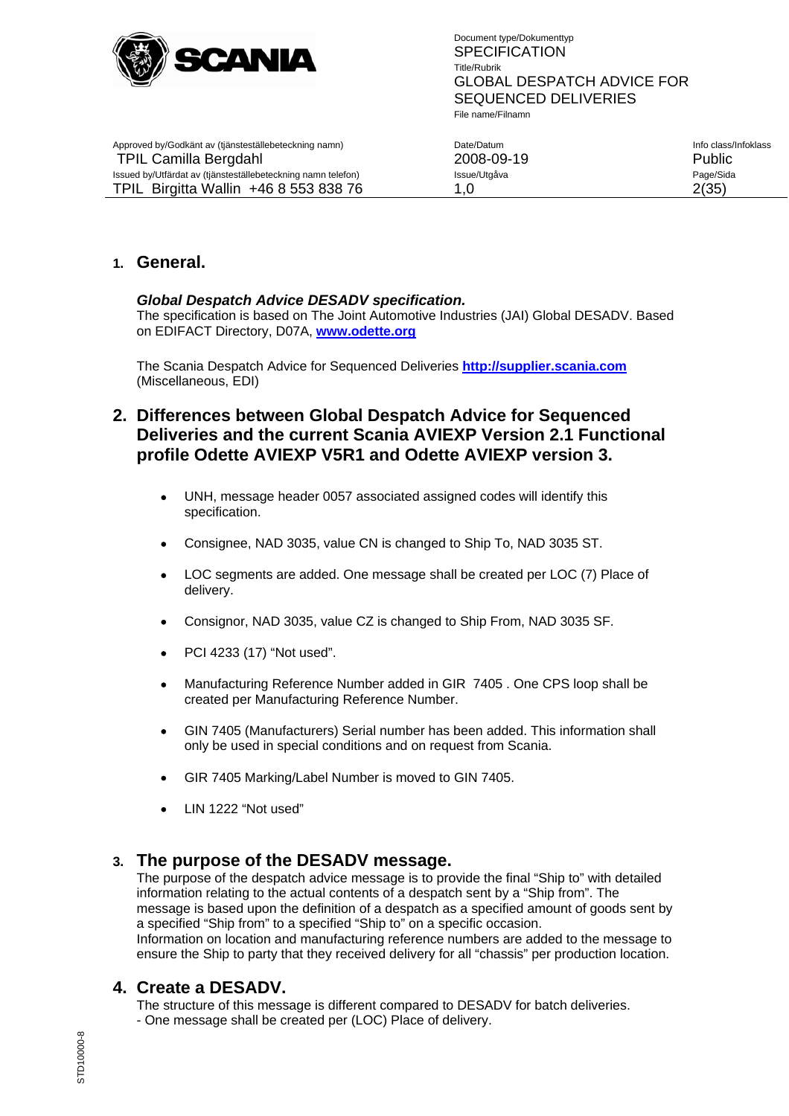

| Info class/Infoklass<br>2008-09-19<br><b>Public</b> |  |
|-----------------------------------------------------|--|
| Page/Sida<br>2(35)                                  |  |
|                                                     |  |

# **1. General.**

# *Global Despatch Advice DESADV specification.*

The specification is based on The Joint Automotive Industries (JAI) Global DESADV. Based on EDIFACT Directory, D07A, **www.odette.org**

The Scania Despatch Advice for Sequenced Deliveries **http://supplier.scania.com** (Miscellaneous, EDI)

# **2. Differences between Global Despatch Advice for Sequenced Deliveries and the current Scania AVIEXP Version 2.1 Functional profile Odette AVIEXP V5R1 and Odette AVIEXP version 3.**

- UNH, message header 0057 associated assigned codes will identify this specification.
- Consignee, NAD 3035, value CN is changed to Ship To, NAD 3035 ST.
- LOC segments are added. One message shall be created per LOC (7) Place of delivery.
- Consignor, NAD 3035, value CZ is changed to Ship From, NAD 3035 SF.
- PCI 4233 (17) "Not used".
- Manufacturing Reference Number added in GIR 7405 . One CPS loop shall be created per Manufacturing Reference Number.
- GIN 7405 (Manufacturers) Serial number has been added. This information shall only be used in special conditions and on request from Scania.
- GIR 7405 Marking/Label Number is moved to GIN 7405.
- LIN 1222 "Not used"

# **3. The purpose of the DESADV message.**

The purpose of the despatch advice message is to provide the final "Ship to" with detailed information relating to the actual contents of a despatch sent by a "Ship from". The message is based upon the definition of a despatch as a specified amount of goods sent by a specified "Ship from" to a specified "Ship to" on a specific occasion. Information on location and manufacturing reference numbers are added to the message to ensure the Ship to party that they received delivery for all "chassis" per production location.

# **4. Create a DESADV.**

The structure of this message is different compared to DESADV for batch deliveries. - One message shall be created per (LOC) Place of delivery.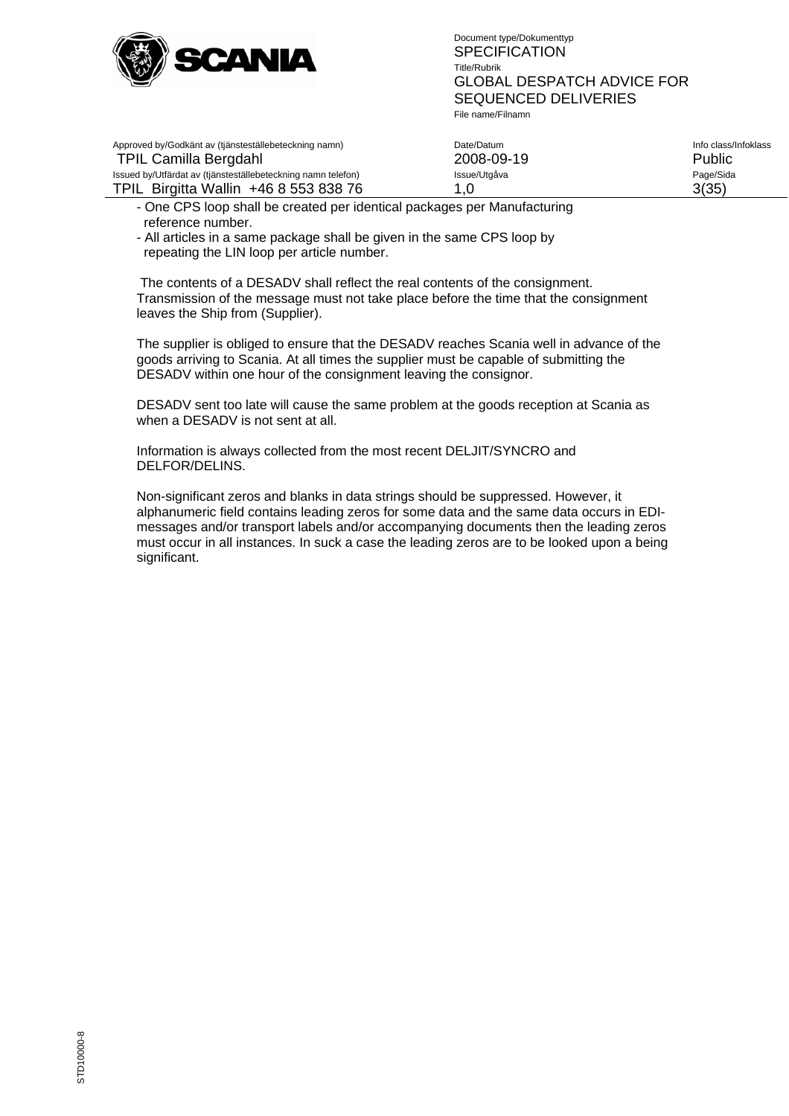

| Approved by/Godkänt av (tjänsteställebeteckning namn)<br><b>TPIL Camilla Bergdahl</b> | Date/Datum<br>2008-09-19 | Info class/Infoklass<br>Public |
|---------------------------------------------------------------------------------------|--------------------------|--------------------------------|
| Issued by/Utfärdat av (tjänsteställebeteckning namn telefon)                          | Issue/Utgåva             | Page/Sida                      |
| TPIL Birgitta Wallin +46 8 553 838 76                                                 | 1.0                      | 3(35)                          |

- One CPS loop shall be created per identical packages per Manufacturing reference number.

- All articles in a same package shall be given in the same CPS loop by repeating the LIN loop per article number.

 The contents of a DESADV shall reflect the real contents of the consignment. Transmission of the message must not take place before the time that the consignment leaves the Ship from (Supplier).

The supplier is obliged to ensure that the DESADV reaches Scania well in advance of the goods arriving to Scania. At all times the supplier must be capable of submitting the DESADV within one hour of the consignment leaving the consignor.

DESADV sent too late will cause the same problem at the goods reception at Scania as when a DESADV is not sent at all.

Information is always collected from the most recent DELJIT/SYNCRO and DELFOR/DELINS.

Non-significant zeros and blanks in data strings should be suppressed. However, it alphanumeric field contains leading zeros for some data and the same data occurs in EDImessages and/or transport labels and/or accompanying documents then the leading zeros must occur in all instances. In suck a case the leading zeros are to be looked upon a being significant.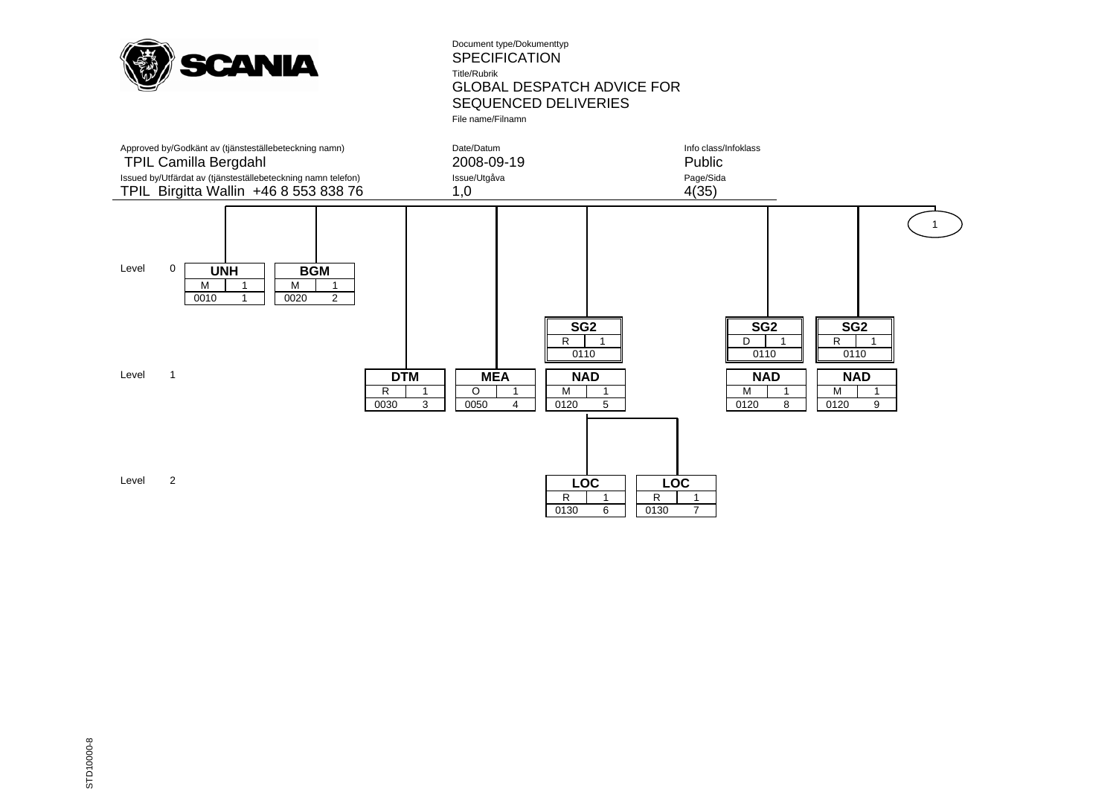

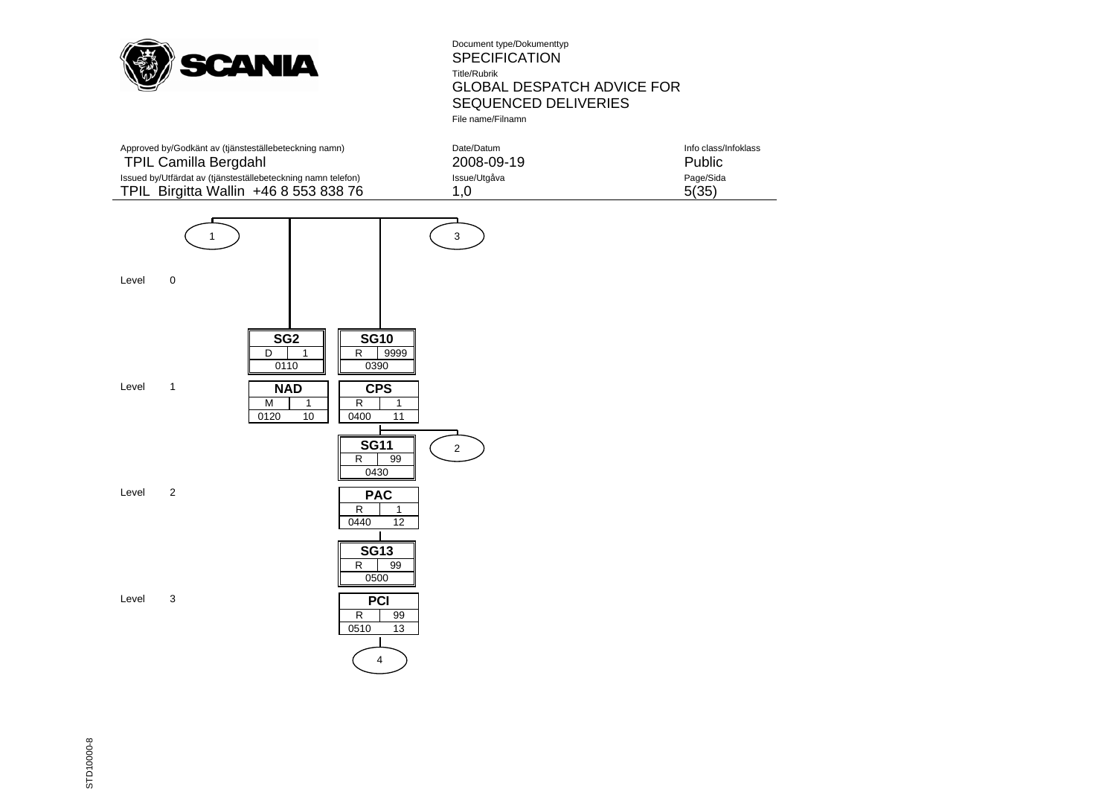

| Approved by/Godkänt av (tjänsteställebeteckning namn)        | Date/Datum   | Info class/Infoklass |
|--------------------------------------------------------------|--------------|----------------------|
| <b>TPIL Camilla Bergdahl</b>                                 | 2008-09-19   | Public               |
| Issued by/Utfärdat av (tjänsteställebeteckning namn telefon) | Issue/Utgåva | Page/Sida            |
| TPIL Birgitta Wallin +46 8 553 838 76                        | 1.0          | 5(35)                |



STD10000-8 STD10000-8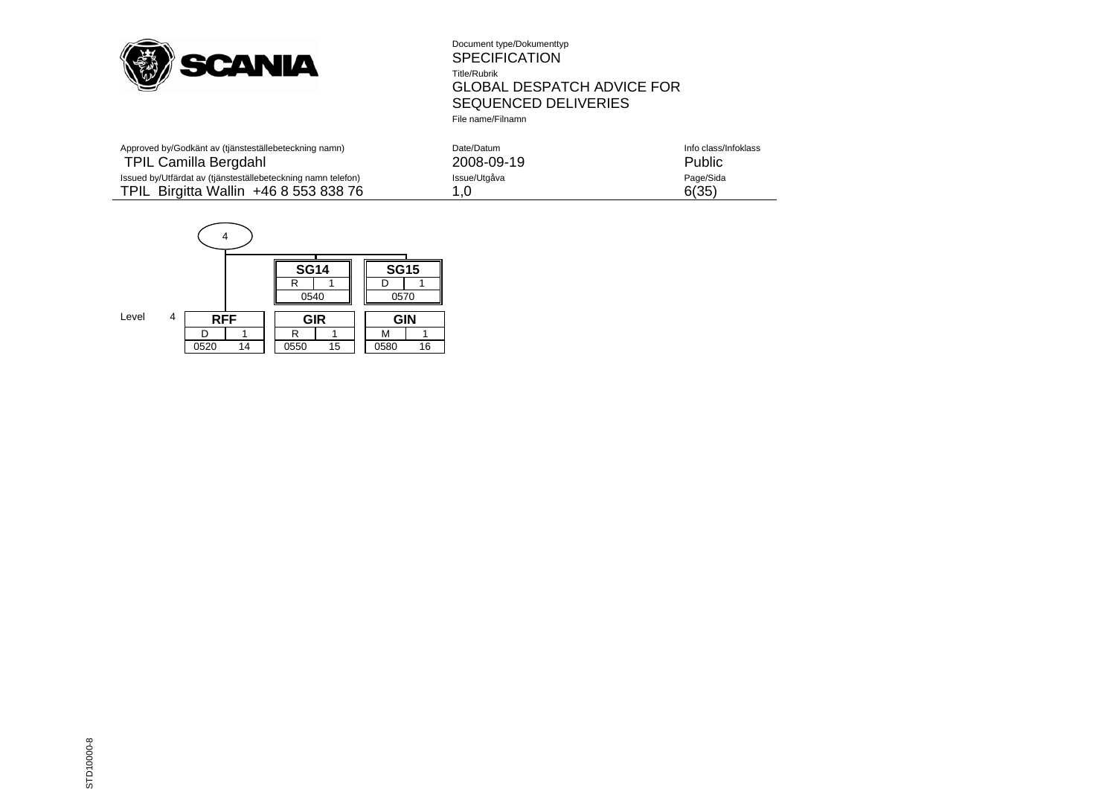

| Approved by/Godkänt av (tjänsteställebeteckning namn)        | Date/Datum   | Info class/Infoklass |
|--------------------------------------------------------------|--------------|----------------------|
| TPIL Camilla Bergdahl                                        | 2008-09-19   | Public               |
| Issued by/Utfärdat av (tjänsteställebeteckning namn telefon) | Issue/Utgåva | Page/Sida            |
| TPIL Birgitta Wallin +46 8 553 838 76                        | .0           | 6(35)                |

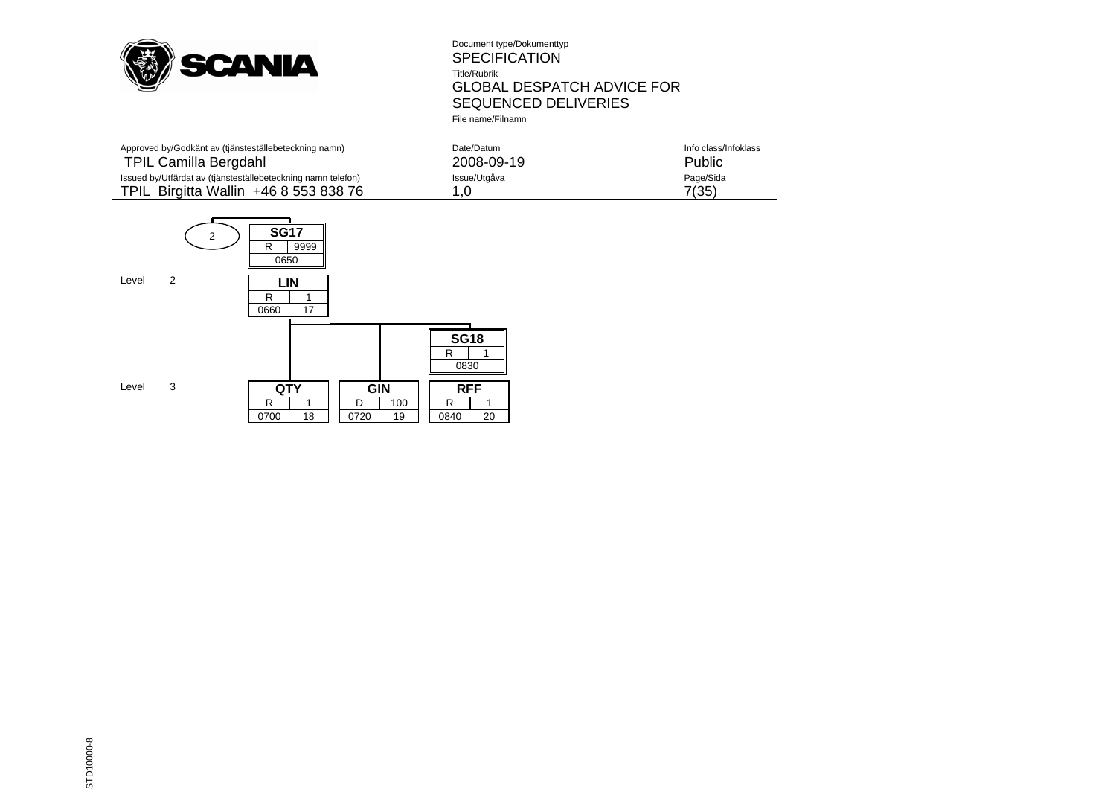

| Approved by/Godkänt av (tjänsteställebeteckning namn)        | Date/Datum   | Info class/Infoklass |
|--------------------------------------------------------------|--------------|----------------------|
| <b>TPIL Camilla Bergdahl</b>                                 | 2008-09-19   | Public               |
| Issued by/Utfärdat av (tjänsteställebeteckning namn telefon) | Issue/Utgåva | Page/Sida            |
| TPIL Birgitta Wallin +46 8 553 838 76                        |              | 7(35)                |

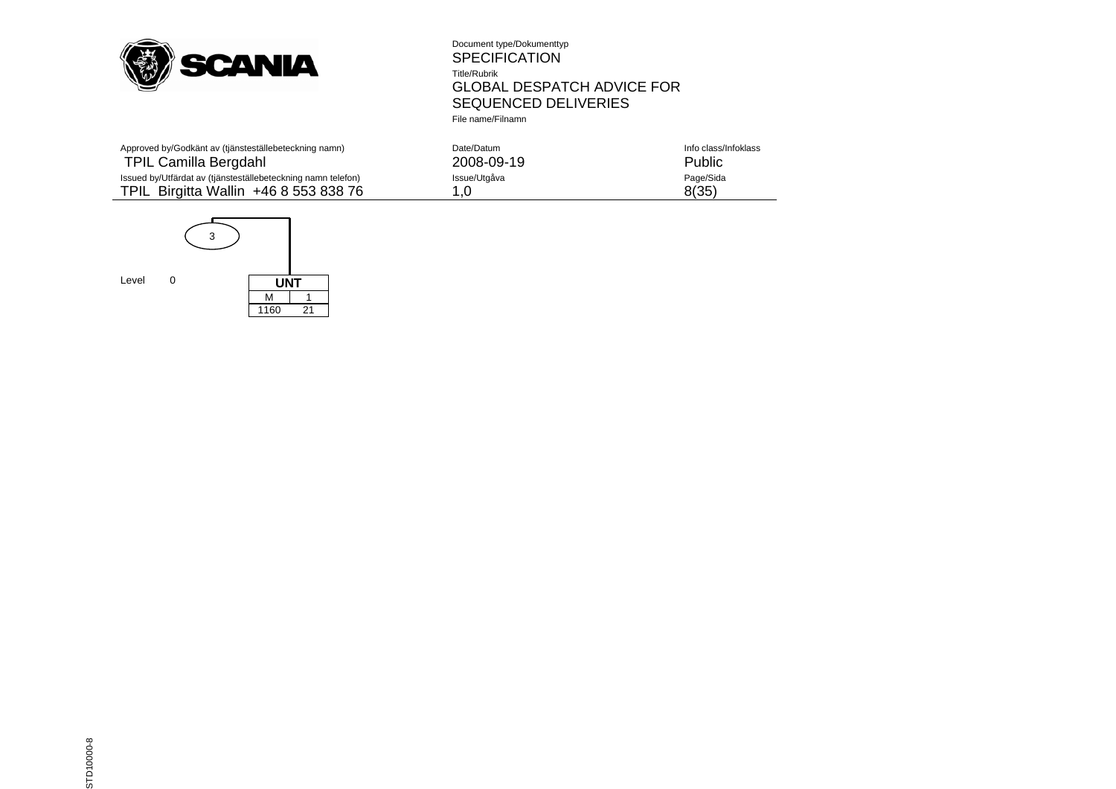

| Approved by/Godkänt av (tjänsteställebeteckning namn)        | Date/Datum   | Info class/Infoklass |
|--------------------------------------------------------------|--------------|----------------------|
| <b>TPIL Camilla Bergdahl</b>                                 | 2008-09-19   | Public               |
| Issued by/Utfärdat av (tjänsteställebeteckning namn telefon) | Issue/Utgåva | Page/Sida            |
| TPIL Birgitta Wallin +46 8 553 838 76                        |              | 8(35)                |

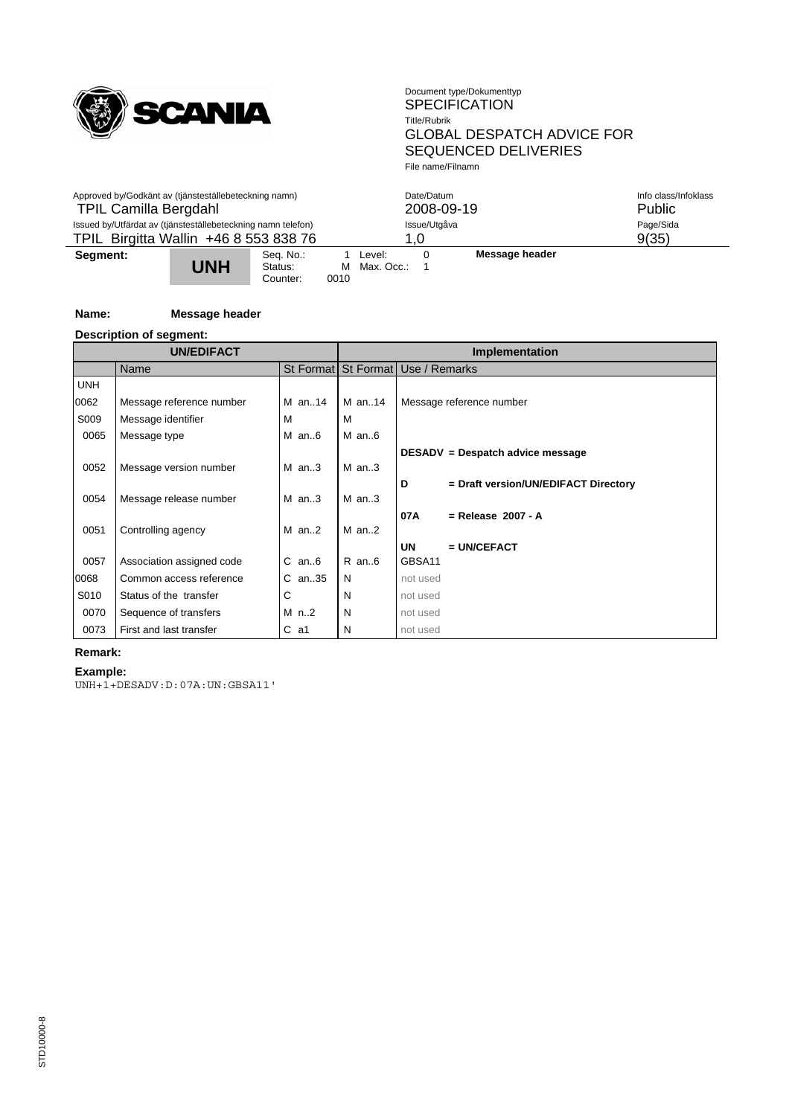

| Approved by/Godkänt av (tjänsteställebeteckning namn)<br><b>TPIL Camilla Bergdahl</b>                 |            |                                  |                     |                      | Date/Datum | 2008-09-19     | Info class/Infoklass<br><b>Public</b> |
|-------------------------------------------------------------------------------------------------------|------------|----------------------------------|---------------------|----------------------|------------|----------------|---------------------------------------|
| Issued by/Utfärdat av (tjänsteställebeteckning namn telefon)<br>TPIL Birgitta Wallin +46 8 553 838 76 |            |                                  | Issue/Utgåva<br>1.0 |                      |            |                | Page/Sida<br>9(35)                    |
| Segment:                                                                                              | <b>UNH</b> | Sea. No.:<br>Status:<br>Counter: | м<br>0010           | Level:<br>Max. Occ.: |            | Message header |                                       |

# **Name: Message header**

**Description of segment:**

|            | <b>UN/EDIFACT</b>         |            | Implementation |                                           |  |  |  |
|------------|---------------------------|------------|----------------|-------------------------------------------|--|--|--|
|            | Name                      |            |                | St Format   St Format   Use / Remarks     |  |  |  |
| <b>UNH</b> |                           |            |                |                                           |  |  |  |
| 0062       | Message reference number  | M an14     | M an14         | Message reference number                  |  |  |  |
| S009       | Message identifier        | м          | м              |                                           |  |  |  |
| 0065       | Message type              | $M$ an $6$ | $M$ an6        |                                           |  |  |  |
|            |                           |            |                | DESADV = Despatch advice message          |  |  |  |
| 0052       | Message version number    | $M$ an3    | $M$ an3        |                                           |  |  |  |
|            |                           |            |                | D<br>= Draft version/UN/EDIFACT Directory |  |  |  |
| 0054       | Message release number    | $M$ an3    | $M$ an3        |                                           |  |  |  |
|            |                           |            |                | 07A<br>$=$ Release 2007 - A               |  |  |  |
| 0051       | Controlling agency        | $M$ an2    | $M$ an2        |                                           |  |  |  |
|            |                           |            |                | <b>UN</b><br>$=$ UN/CEFACT                |  |  |  |
| 0057       | Association assigned code | $C$ an $6$ | $R$ an $6$     | GBSA11                                    |  |  |  |
| 0068       | Common access reference   | $C$ an35   | N              | not used                                  |  |  |  |
| S010       | Status of the transfer    | С          | N              | not used                                  |  |  |  |
| 0070       | Sequence of transfers     | $M$ n2     | N              | not used                                  |  |  |  |
| 0073       | First and last transfer   | $C$ a1     | N              | not used                                  |  |  |  |

# **Remark:**

**Example:**

UNH+1+DESADV:D:07A:UN:GBSA11'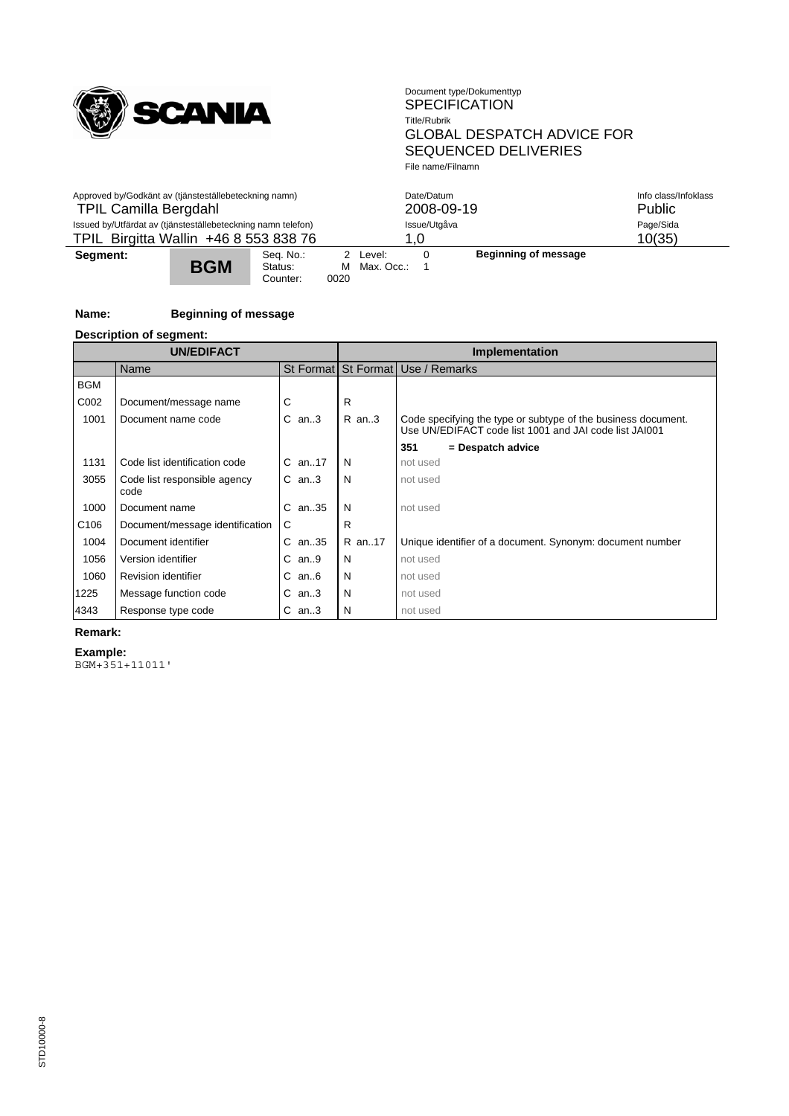

| Approved by/Godkänt av (tjänsteställebeteckning namn)        |            |                                  |              | Date/Datum             | Info class/Infoklass |                      |           |
|--------------------------------------------------------------|------------|----------------------------------|--------------|------------------------|----------------------|----------------------|-----------|
| <b>TPIL Camilla Bergdahl</b>                                 |            |                                  |              | 2008-09-19             | Public               |                      |           |
| Issued by/Utfärdat av (tjänsteställebeteckning namn telefon) |            |                                  | Issue/Utgåva |                        |                      |                      | Page/Sida |
| TPIL Birgitta Wallin +46 8 553 838 76                        |            |                                  | 1.0          |                        |                      |                      | 10(35)    |
| Segment:                                                     | <b>BGM</b> | Sea. No.:<br>Status:<br>Counter: | м<br>0020    | 2 Level:<br>Max. Occ.: |                      | Beginning of message |           |

# **Name: Beginning of message**

**Description of segment:**

| <b>UN/EDIFACT</b> |                                      |            |   | Implementation |                                                                                                                         |  |  |  |
|-------------------|--------------------------------------|------------|---|----------------|-------------------------------------------------------------------------------------------------------------------------|--|--|--|
|                   | Name                                 |            |   |                | St Format St Format Use / Remarks                                                                                       |  |  |  |
| <b>BGM</b>        |                                      |            |   |                |                                                                                                                         |  |  |  |
| C002              | Document/message name                | С          | R |                |                                                                                                                         |  |  |  |
| 1001              | Document name code                   | $C$ an3    |   | $R$ an3        | Code specifying the type or subtype of the business document.<br>Use UN/EDIFACT code list 1001 and JAI code list JAI001 |  |  |  |
|                   |                                      |            |   |                | 351<br>= Despatch advice                                                                                                |  |  |  |
| 1131              | Code list identification code        | $C$ an17   | N |                | not used                                                                                                                |  |  |  |
| 3055              | Code list responsible agency<br>code | $C$ an3    | N |                | not used                                                                                                                |  |  |  |
| 1000              | Document name                        | $C$ an. 35 | N |                | not used                                                                                                                |  |  |  |
| C <sub>106</sub>  | Document/message identification      | C          | R |                |                                                                                                                         |  |  |  |
| 1004              | Document identifier                  | $C$ an. 35 |   | R an17         | Unique identifier of a document. Synonym: document number                                                               |  |  |  |
| 1056              | Version identifier                   | $C$ an9    | N |                | not used                                                                                                                |  |  |  |
| 1060              | <b>Revision identifier</b>           | $C$ an $6$ | N |                | not used                                                                                                                |  |  |  |
| 1225              | Message function code                | $C$ an3    | N |                | not used                                                                                                                |  |  |  |
| 4343              | Response type code                   | $C$ an3    | N |                | not used                                                                                                                |  |  |  |

### **Remark:**

**Example:**

BGM+351+11011'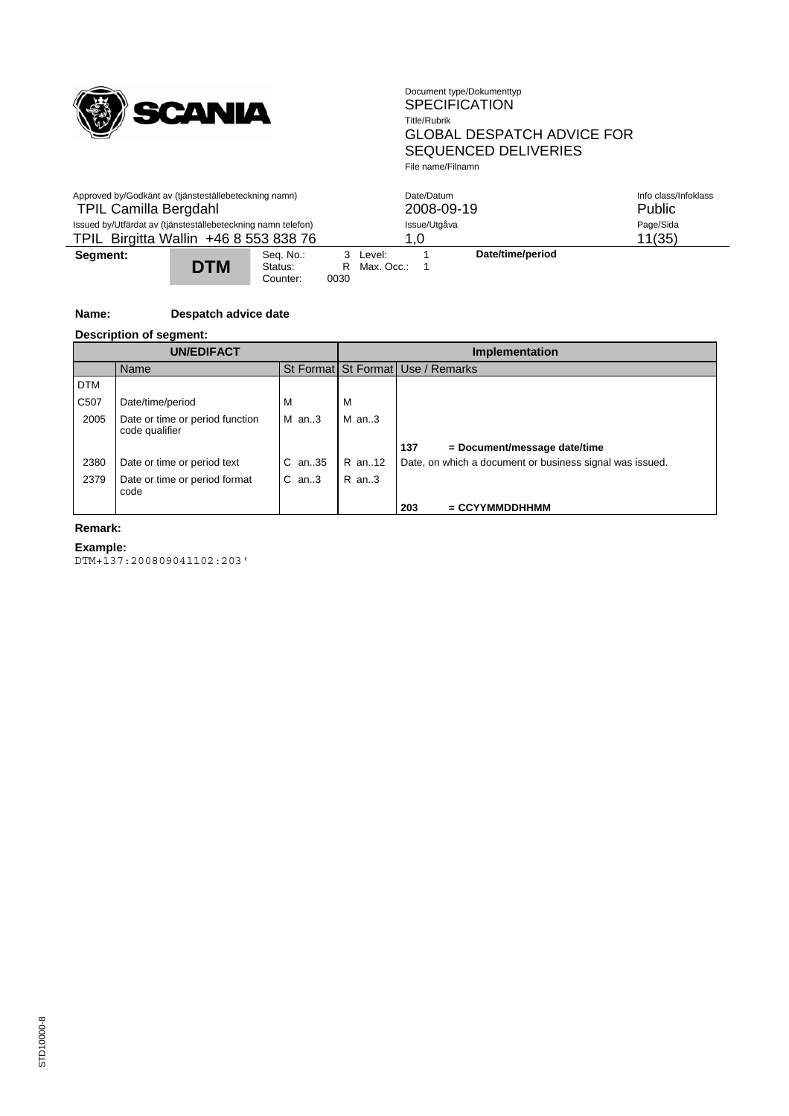

| Approved by/Godkänt av (tjänsteställebeteckning namn)<br><b>TPIL Camilla Bergdahl</b> |            |                                  |      | Date/Datum<br>2008-09-19 | Info class/Infoklass<br>Public |                  |  |
|---------------------------------------------------------------------------------------|------------|----------------------------------|------|--------------------------|--------------------------------|------------------|--|
| Issued by/Utfärdat av (tjänsteställebeteckning namn telefon)                          |            |                                  |      |                          | Issue/Utgåva                   | Page/Sida        |  |
| TPIL Birgitta Wallin +46 8 553 838 76                                                 |            |                                  | 1.0  |                          |                                | 11(35)           |  |
| Segment:                                                                              | <b>DTM</b> | Sea. No.:<br>Status:<br>Counter: | 0030 | 3 Level:<br>R Max. Occ.: |                                | Date/time/period |  |

# **Name: Despatch advice date**

#### **Description of segment:**

|            | <b>UN/EDIFACT</b>                                 |            |         | <b>Implementation</b>                                    |  |  |  |
|------------|---------------------------------------------------|------------|---------|----------------------------------------------------------|--|--|--|
|            | Name                                              |            |         | St Format St Format Use / Remarks                        |  |  |  |
| <b>DTM</b> |                                                   |            |         |                                                          |  |  |  |
| C507       | Date/time/period                                  | м          | М       |                                                          |  |  |  |
| 2005       | Date or time or period function<br>code qualifier | M an3      | $M$ an3 |                                                          |  |  |  |
|            |                                                   |            |         | 137<br>$=$ Document/message date/time                    |  |  |  |
| 2380       | Date or time or period text                       | $C$ an. 35 | R an12  | Date, on which a document or business signal was issued. |  |  |  |
| 2379       | Date or time or period format<br>code             | $C$ an3    | R an3   |                                                          |  |  |  |
|            |                                                   |            |         | 203<br>$=$ CCYYMMDDHHMM                                  |  |  |  |

# **Remark:**

**Example:**

DTM+137:200809041102:203'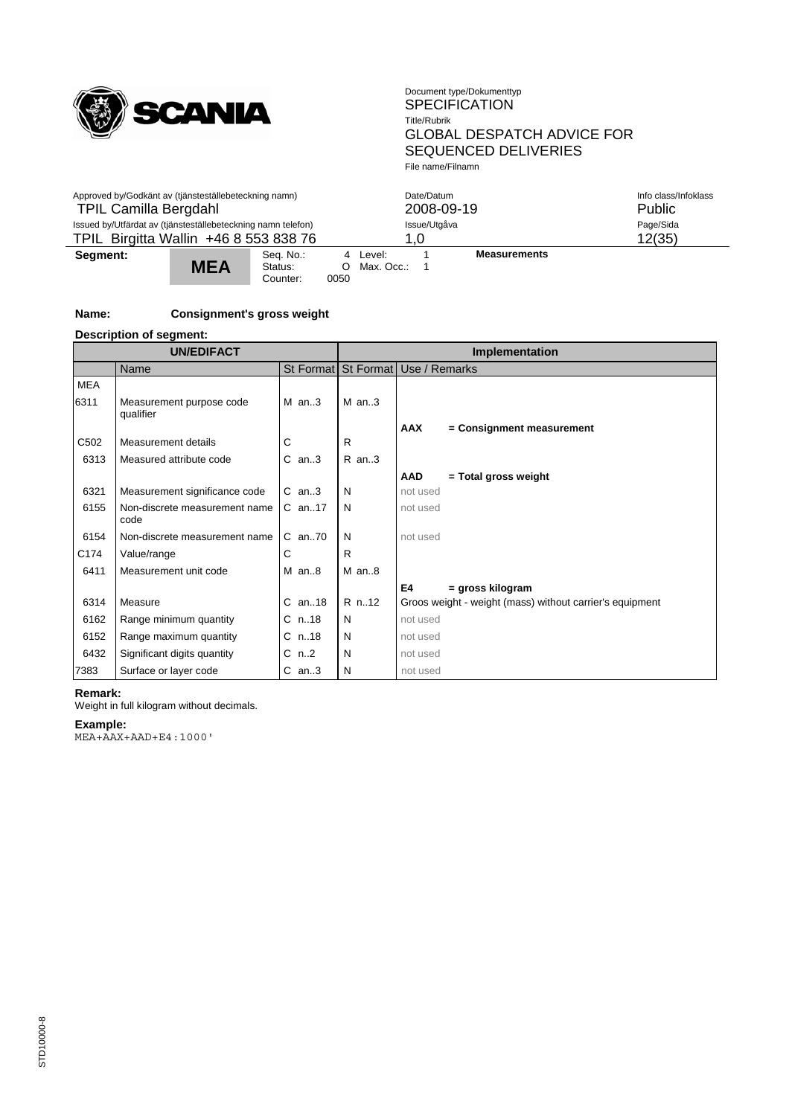

| Approved by/Godkänt av (tjänsteställebeteckning namn)<br><b>TPIL Camilla Bergdahl</b>                 |            |                                  |           |                        | Date/Datum          | 2008-09-19          | Info class/Infoklass<br>Public |
|-------------------------------------------------------------------------------------------------------|------------|----------------------------------|-----------|------------------------|---------------------|---------------------|--------------------------------|
| Issued by/Utfärdat av (tjänsteställebeteckning namn telefon)<br>TPIL Birgitta Wallin +46 8 553 838 76 |            |                                  |           |                        | Issue/Utgåva<br>1.0 |                     | Page/Sida<br>12(35)            |
| Segment:                                                                                              | <b>MEA</b> | Seq. No.:<br>Status:<br>Counter: | O<br>0050 | 4 Level:<br>Max. Occ.: |                     | <b>Measurements</b> |                                |

# **Name: Consignment's gross weight**

**Description of segment:**

| <b>UN/EDIFACT</b> |                                       |           | Implementation |                                                          |  |  |
|-------------------|---------------------------------------|-----------|----------------|----------------------------------------------------------|--|--|
|                   | Name                                  |           |                | St Format St Format Use / Remarks                        |  |  |
| <b>MEA</b>        |                                       |           |                |                                                          |  |  |
| 6311              | Measurement purpose code<br>qualifier | $M$ an3   | $M$ an3        |                                                          |  |  |
|                   |                                       |           |                | <b>AAX</b><br>= Consignment measurement                  |  |  |
| C <sub>502</sub>  | Measurement details                   | C         | R              |                                                          |  |  |
| 6313              | Measured attribute code               | $C$ an3   | $R$ an3        |                                                          |  |  |
|                   |                                       |           |                | <b>AAD</b><br>= Total gross weight                       |  |  |
| 6321              | Measurement significance code         | $C$ an3   | N              | not used                                                 |  |  |
| 6155              | Non-discrete measurement name<br>code | $C$ an17  | N              | not used                                                 |  |  |
| 6154              | Non-discrete measurement name         | C an70    | N              | not used                                                 |  |  |
| C174              | Value/range                           | С         | R              |                                                          |  |  |
| 6411              | Measurement unit code                 | $M$ an8   | $M$ an $8$     |                                                          |  |  |
|                   |                                       |           |                | E4<br>= gross kilogram                                   |  |  |
| 6314              | Measure                               | $C$ an18  | R n12          | Groos weight - weight (mass) without carrier's equipment |  |  |
| 6162              | Range minimum quantity                | $C$ n. 18 | N              | not used                                                 |  |  |
| 6152              | Range maximum quantity                | $C$ n.18  | N              | not used                                                 |  |  |
| 6432              | Significant digits quantity           | $C_n$ .2  | N              | not used                                                 |  |  |
| 7383              | Surface or layer code                 | $C$ an3   | N              | not used                                                 |  |  |

#### **Remark:**

Weight in full kilogram without decimals.

#### **Example:**

MEA+AAX+AAD+E4:1000'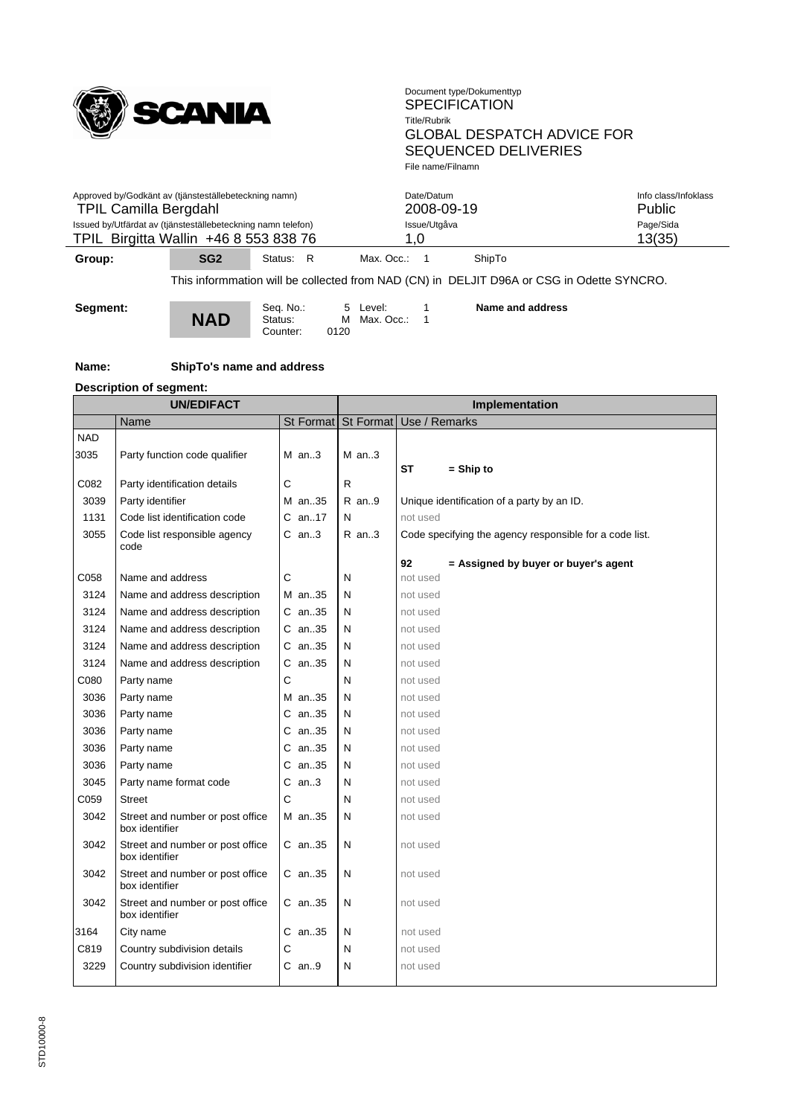

| $\sim$ $\sim$                                                | $\mathbf{a} \mathbf{a} \mathbf{b}$ | $\mathbf{a}$ | <b>ALL</b><br>$\mathbf{M}$ $\mathbf{M}$ $\mathbf{M}$ |                      |
|--------------------------------------------------------------|------------------------------------|--------------|------------------------------------------------------|----------------------|
| TPIL Birgitta Wallin +46 8 553 838 76                        |                                    |              |                                                      | 13(35)               |
| Issued by/Utfärdat av (tjänsteställebeteckning namn telefon) |                                    |              | Issue/Utgåva                                         | Page/Sida            |
| <b>TPIL Camilla Bergdahl</b>                                 |                                    |              | 2008-09-19                                           | <b>Public</b>        |
| Approved by/Godkänt av (tjänsteställebeteckning namn)        |                                    |              | Date/Datum                                           | Info class/Infoklass |
|                                                              |                                    |              |                                                      |                      |

**Group: SG2** Status: R Max. Occ.: 1 ShipTo

This informmation will be collected from NAD (CN) in DELJIT D96A or CSG in Odette SYNCRO.

**Segment:**

Seq. No.: 5 Level: 1<br>**NAD** Status: M Max. Occ.: 1 Counter: 0120

**Name and address**

**Name: ShipTo's name and address**

# **Description of segment:**

|            | <b>UN/EDIFACT</b>                                  |            | Implementation |                                                         |  |  |
|------------|----------------------------------------------------|------------|----------------|---------------------------------------------------------|--|--|
|            | Name                                               |            |                | St Format St Format Use / Remarks                       |  |  |
| <b>NAD</b> |                                                    |            |                |                                                         |  |  |
| 3035       | Party function code qualifier                      | $M$ an3    | $M$ an3        |                                                         |  |  |
|            |                                                    |            |                | ST<br>$=$ Ship to                                       |  |  |
| C082       | Party identification details                       | С          | $\mathsf{R}$   |                                                         |  |  |
| 3039       | Party identifier                                   | M an35     | R an9          | Unique identification of a party by an ID.              |  |  |
| 1131       | Code list identification code                      | $C$ an17   | N              | not used                                                |  |  |
| 3055       | Code list responsible agency<br>code               | $C$ an3    | $R$ an3        | Code specifying the agency responsible for a code list. |  |  |
|            |                                                    |            |                | 92<br>= Assigned by buyer or buyer's agent              |  |  |
| C058       | Name and address                                   | С          | N              | not used                                                |  |  |
| 3124       | Name and address description                       | M an35     | N              | not used                                                |  |  |
| 3124       | Name and address description                       | C an35     | N              | not used                                                |  |  |
| 3124       | Name and address description                       | $C$ an. 35 | N              | not used                                                |  |  |
| 3124       | Name and address description                       | C an35     | N              | not used                                                |  |  |
| 3124       | Name and address description                       | $C$ an. 35 | N              | not used                                                |  |  |
| C080       | Party name                                         | С          | N              | not used                                                |  |  |
| 3036       | Party name                                         | M an35     | N              | not used                                                |  |  |
| 3036       | Party name                                         | C an35     | N              | not used                                                |  |  |
| 3036       | Party name                                         | $C$ an35   | N              | not used                                                |  |  |
| 3036       | Party name                                         | $C$ an35   | N              | not used                                                |  |  |
| 3036       | Party name                                         | $C$ an35   | N              | not used                                                |  |  |
| 3045       | Party name format code                             | $C$ an3    | N              | not used                                                |  |  |
| C059       | <b>Street</b>                                      | C          | N              | not used                                                |  |  |
| 3042       | Street and number or post office<br>box identifier | M an35     | N              | not used                                                |  |  |
| 3042       | Street and number or post office<br>box identifier | C an35     | N              | not used                                                |  |  |
| 3042       | Street and number or post office<br>box identifier | $C$ an35   | N              | not used                                                |  |  |
| 3042       | Street and number or post office<br>box identifier | C an35     | N              | not used                                                |  |  |
| 3164       | City name                                          | $C$ an35   | N              | not used                                                |  |  |
| C819       | Country subdivision details                        | С          | N              | not used                                                |  |  |
| 3229       | Country subdivision identifier                     | $C$ an9    | N              | not used                                                |  |  |
|            |                                                    |            |                |                                                         |  |  |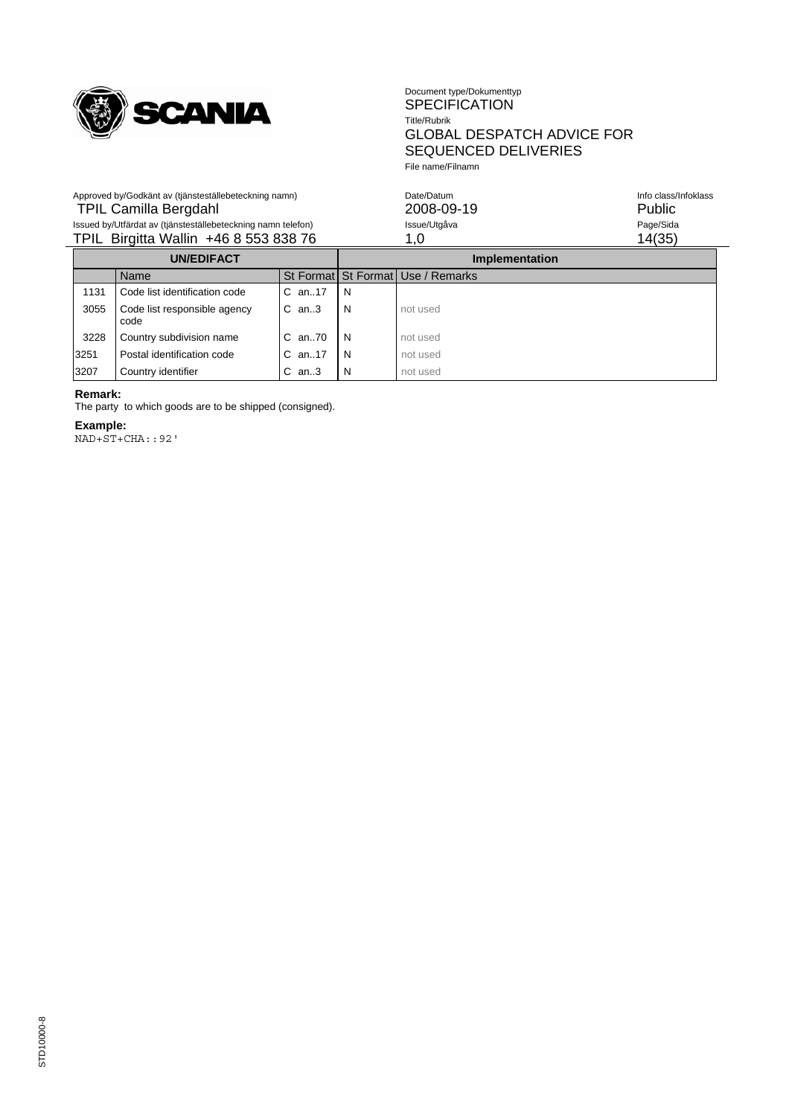

Approved by/Godkänt av (tjänsteställebeteckning namn)

#### Document type/Dokumenttyp SPECIFICATION Title/Rubrik GLOBAL DESPATCH ADVICE FOR SEQUENCED DELIVERIES File name/Filnamn

| Approved by/Godkänt av (tjänsteställebeteckning namn)        | Date/Datum   | Info class/Infoklass |
|--------------------------------------------------------------|--------------|----------------------|
| TPIL Camilla Bergdahl                                        | 2008-09-19   | Public               |
| Issued by/Utfärdat av (tjänsteställebeteckning namn telefon) | Issue/Utgåva | Page/Sida            |
| TPIL Birgitta Wallin +46 8 553 838 76                        |              | 14(35)               |
|                                                              |              |                      |

| <b>UN/EDIFACT</b> |      |                                      |              | Implementation |                                       |  |
|-------------------|------|--------------------------------------|--------------|----------------|---------------------------------------|--|
|                   |      | Name                                 |              |                | St Format   St Format   Use / Remarks |  |
|                   | 1131 | Code list identification code        | $C$ an. 17   | N              |                                       |  |
|                   | 3055 | Code list responsible agency<br>code | $C$ an3      | N              | not used                              |  |
|                   | 3228 | Country subdivision name             | $C$ an. $70$ | N              | not used                              |  |
|                   | 3251 | Postal identification code           | $C$ an. 17   | N              | not used                              |  |
|                   | 3207 | Country identifier                   | $C$ an3      | N              | not used                              |  |

### **Remark:**

The party to which goods are to be shipped (consigned).

#### **Example:**

NAD+ST+CHA::92'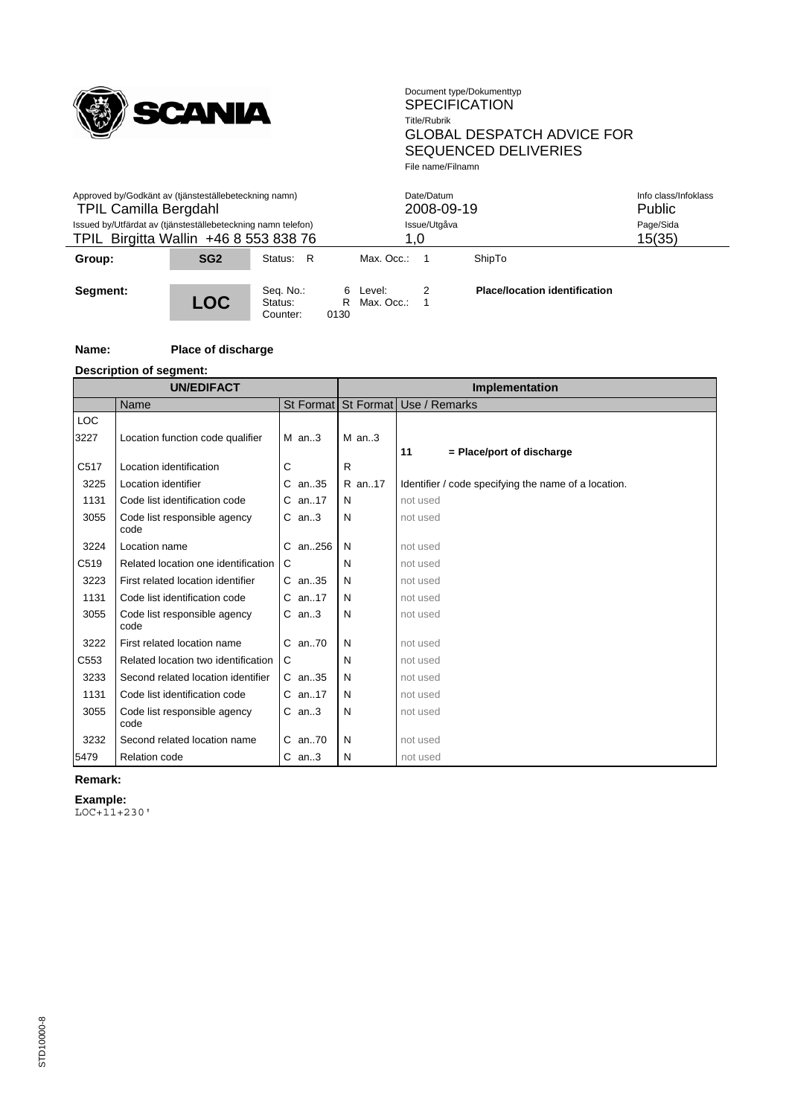

| Approved by/Godkänt av (tjänsteställebeteckning namn)<br><b>TPIL Camilla Bergdahl</b><br>Issued by/Utfärdat av (tjänsteställebeteckning namn telefon)<br>TPIL Birgitta Wallin +46 8 553 838 76 |                 |                                  |                | Date/Datum<br>2008-09-19<br>Issue/Utgåva<br>1.0 |   |                                      | Info class/Infoklass<br>Public<br>Page/Sida<br>15(35) |
|------------------------------------------------------------------------------------------------------------------------------------------------------------------------------------------------|-----------------|----------------------------------|----------------|-------------------------------------------------|---|--------------------------------------|-------------------------------------------------------|
| Group:                                                                                                                                                                                         | SG <sub>2</sub> | Status: R                        |                | Max. Occ.:                                      |   | ShipTo                               |                                                       |
| Segment:                                                                                                                                                                                       | <b>LOC</b>      | Seq. No.:<br>Status:<br>Counter: | 6<br>R<br>0130 | Level:<br>Max. Occ.:                            | 2 | <b>Place/location identification</b> |                                                       |

#### **Name: Place of discharge**

**Description of segment:**

| <b>UN/EDIFACT</b>  |                                      |             | Implementation |                                                      |  |  |
|--------------------|--------------------------------------|-------------|----------------|------------------------------------------------------|--|--|
|                    | Name                                 |             |                | St Format St Format Use / Remarks                    |  |  |
| <b>LOC</b><br>3227 | Location function code qualifier     | $M$ an3     | $M$ an3        |                                                      |  |  |
|                    |                                      |             |                | = Place/port of discharge<br>11                      |  |  |
| C517               | Location identification              | С           | R              |                                                      |  |  |
| 3225               | Location identifier                  | C an35      | R an17         | Identifier / code specifying the name of a location. |  |  |
| 1131               | Code list identification code        | C an17      | N              | not used                                             |  |  |
| 3055               | Code list responsible agency<br>code | $C$ an3     | N              | not used                                             |  |  |
| 3224               | Location name                        | C an256     | N              | not used                                             |  |  |
| C519               | Related location one identification  | C           | N              | not used                                             |  |  |
| 3223               | First related location identifier    | C an35      | N              | not used                                             |  |  |
| 1131               | Code list identification code        | C an17      | N              | not used                                             |  |  |
| 3055               | Code list responsible agency<br>code | $C$ an3     | N              | not used                                             |  |  |
| 3222               | First related location name          | $C$ an70    | N              | not used                                             |  |  |
| C553               | Related location two identification  | C           | N              | not used                                             |  |  |
| 3233               | Second related location identifier   | C an35      | N              | not used                                             |  |  |
| 1131               | Code list identification code        | C an17      | N              | not used                                             |  |  |
| 3055               | Code list responsible agency<br>code | $C$ an3     | N              | not used                                             |  |  |
| 3232               | Second related location name         | $C$ an $70$ | N              | not used                                             |  |  |
| 5479               | <b>Relation code</b>                 | $C$ an3     | N              | not used                                             |  |  |

**Remark:**

**Example:**

LOC+11+230'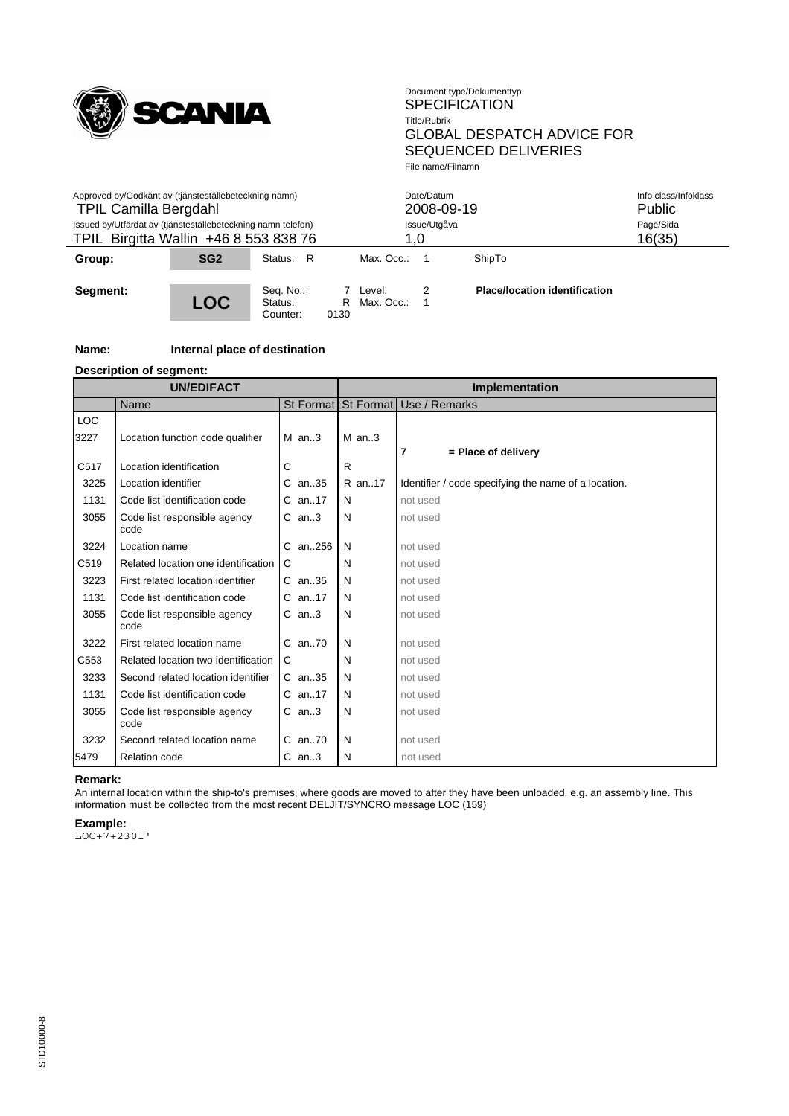

| Approved by/Godkänt av (tjänsteställebeteckning namn)<br><b>TPIL Camilla Bergdahl</b><br>Issued by/Utfärdat av (tjänsteställebeteckning namn telefon)<br>TPIL Birgitta Wallin +46 8 553 838 76 |                 |                                  |           | Date/Datum<br>2008-09-19<br>Issue/Utgåva<br>1.0 |        |                                      | Info class/Infoklass<br>Public<br>Page/Sida<br>16(35) |
|------------------------------------------------------------------------------------------------------------------------------------------------------------------------------------------------|-----------------|----------------------------------|-----------|-------------------------------------------------|--------|--------------------------------------|-------------------------------------------------------|
| Group:                                                                                                                                                                                         | SG <sub>2</sub> | Status: R                        |           | Max. Occ.:                                      |        | ShipTo                               |                                                       |
| Segment:                                                                                                                                                                                       | <b>LOC</b>      | Seq. No.:<br>Status:<br>Counter: | R<br>0130 | 7 Level:<br>Max. Occ.:                          | 2<br>1 | <b>Place/location identification</b> |                                                       |

#### **Name: Internal place of destination**

#### **Description of segment:**

|                  | <b>UN/EDIFACT</b>                    |             | Implementation |                                                      |  |  |
|------------------|--------------------------------------|-------------|----------------|------------------------------------------------------|--|--|
|                  | Name                                 |             |                | St Format St Format Use / Remarks                    |  |  |
| <b>LOC</b>       |                                      |             |                |                                                      |  |  |
| 3227             | Location function code qualifier     | $M$ an3     | $M$ an3        |                                                      |  |  |
| C517             | Location identification              | С           | R              | 7<br>= Place of delivery                             |  |  |
| 3225             | Location identifier                  | $C$ an. 35  | R an17         | Identifier / code specifying the name of a location. |  |  |
| 1131             | Code list identification code        | $C$ an17    | N              | not used                                             |  |  |
| 3055             | Code list responsible agency<br>code | $C$ an3     | N              | not used                                             |  |  |
| 3224             | Location name                        | C an256     | N              | not used                                             |  |  |
| C519             | Related location one identification  | C           | N              | not used                                             |  |  |
| 3223             | First related location identifier    | $C$ an. 35  | N              | not used                                             |  |  |
| 1131             | Code list identification code        | $C$ an17    | N              | not used                                             |  |  |
| 3055             | Code list responsible agency<br>code | $C$ an3     | N              | not used                                             |  |  |
| 3222             | First related location name          | C an70      | N              | not used                                             |  |  |
| C <sub>553</sub> | Related location two identification  | C           | N              | not used                                             |  |  |
| 3233             | Second related location identifier   | $C$ an. 35  | N              | not used                                             |  |  |
| 1131             | Code list identification code        | $C$ an17    | N              | not used                                             |  |  |
| 3055             | Code list responsible agency<br>code | $C$ an3     | N              | not used                                             |  |  |
| 3232             | Second related location name         | $C$ an $70$ | N              | not used                                             |  |  |
| 5479             | <b>Relation code</b>                 | $C$ an3     | N              | not used                                             |  |  |

#### **Remark:**

An internal location within the ship-to's premises, where goods are moved to after they have been unloaded, e.g. an assembly line. This information must be collected from the most recent DELJIT/SYNCRO message LOC (159)

**Example:**

LOC+7+230I'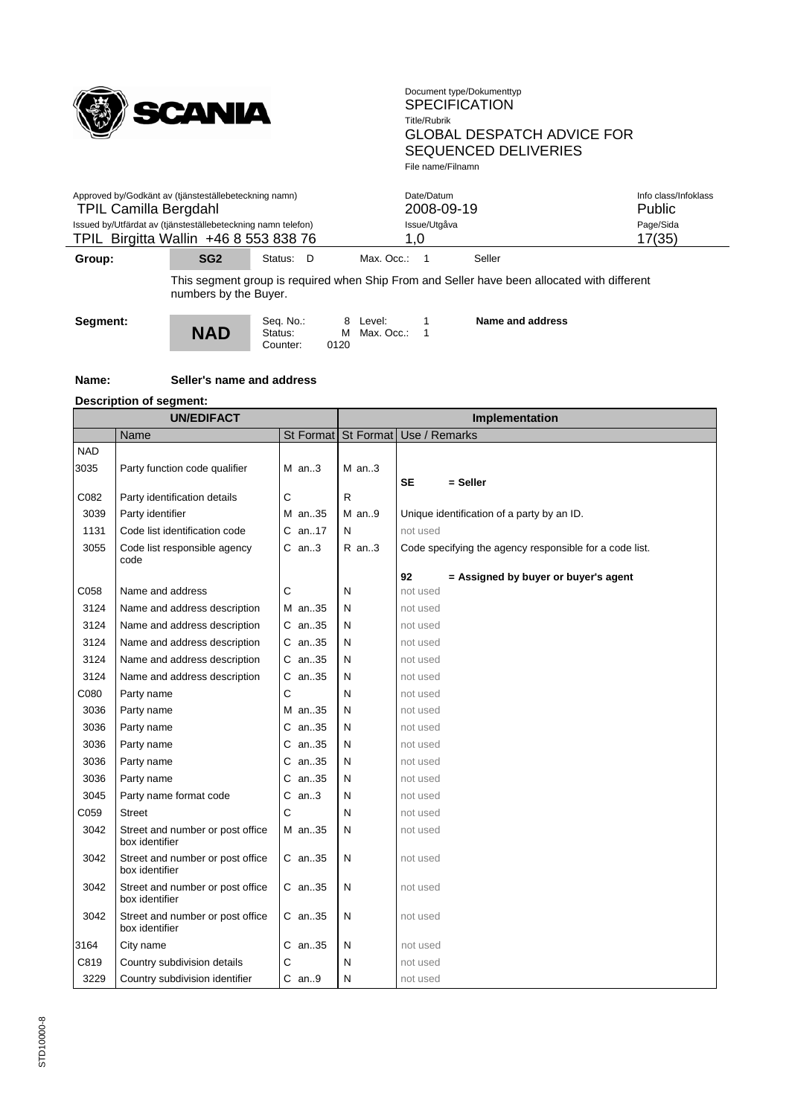

| $\sim$ $\sim$                                                                                         | $\mathbf{a} \mathbf{a} \mathbf{b}$ | $\mathbf{a}$ . $\mathbf{b}$ | $\cdots$     |                      |
|-------------------------------------------------------------------------------------------------------|------------------------------------|-----------------------------|--------------|----------------------|
| Issued by/Utfärdat av (tjänsteställebeteckning namn telefon)<br>TPIL Birgitta Wallin +46 8 553 838 76 |                                    |                             | 1.0          | Page/Sida<br>17(35)  |
|                                                                                                       |                                    |                             | Issue/Utgåva |                      |
| <b>TPIL Camilla Bergdahl</b>                                                                          |                                    |                             | 2008-09-19   | <b>Public</b>        |
| Approved by/Godkänt av (tjänsteställebeteckning namn)                                                 |                                    |                             | Date/Datum   | Info class/Infoklass |
|                                                                                                       |                                    |                             |              |                      |

**Group: SG2** Status: D Max. Occ.: 1 Seller

This segment group is required when Ship From and Seller have been allocated with different numbers by the Buyer.



Seq. No.: 8 Level: 1<br>**NAD** Status: M Max. Occ.: 1 Counter:

**Name and address**

#### **Name: Seller's name and address**

#### **Description of segment:**

| St Format   Use / Remarks<br>Name<br>St Format<br><b>NAD</b><br>3035<br>Party function code qualifier<br>$M$ an3<br>$M$ an3<br>$=$ Seller<br><b>SE</b><br>C082<br>C<br>$\mathsf{R}$<br>Party identification details<br>3039<br>Party identifier<br>M an35<br>$M$ an9<br>Unique identification of a party by an ID.<br>Code list identification code<br>C an17<br>1131<br>N<br>not used<br>3055<br>$C$ an3<br>Code list responsible agency<br>$R$ an3<br>Code specifying the agency responsible for a code list.<br>code<br>92<br>= Assigned by buyer or buyer's agent<br>C<br>C058<br>Name and address<br>N<br>not used<br>3124<br>Name and address description<br>M an35<br>N<br>not used<br>3124<br>Name and address description<br>C an35<br>N<br>not used<br>3124<br>Name and address description<br>C an35<br>N<br>not used<br>3124<br>C an35<br>Name and address description<br>N<br>not used<br>3124<br>$C$ an. 35<br>Name and address description<br>N<br>not used<br>C<br>C080<br>N<br>Party name<br>not used<br>3036<br>N<br>Party name<br>M an35<br>not used<br>3036<br>Party name<br>$C$ an. 35<br>N<br>not used<br>3036<br>an35<br>Party name<br>N<br>С<br>not used<br>3036<br>an35<br>N<br>Party name<br>С<br>not used<br>an35<br>3036<br>N<br>Party name<br>C<br>not used<br>3045<br>$C$ an3<br>Party name format code<br>N<br>not used<br>C059<br>C<br>N<br><b>Street</b><br>not used<br>3042<br>Street and number or post office<br>M an35<br>N<br>not used<br>box identifier<br>3042<br>Street and number or post office<br>N<br>$C$ an. 35<br>not used<br>box identifier<br>Street and number or post office<br>3042<br>$C$ an35<br>N<br>not used<br>box identifier<br>3042<br>Street and number or post office<br>$C$ an. 35<br>N<br>not used<br>box identifier<br>3164<br>City name<br>C an35<br>N<br>not used<br>C819<br>C<br>Country subdivision details<br>N<br>not used<br>3229<br>Country subdivision identifier<br>$C$ an9<br>N<br>not used | <b>UN/EDIFACT</b> |  | Implementation |  |  |  |
|------------------------------------------------------------------------------------------------------------------------------------------------------------------------------------------------------------------------------------------------------------------------------------------------------------------------------------------------------------------------------------------------------------------------------------------------------------------------------------------------------------------------------------------------------------------------------------------------------------------------------------------------------------------------------------------------------------------------------------------------------------------------------------------------------------------------------------------------------------------------------------------------------------------------------------------------------------------------------------------------------------------------------------------------------------------------------------------------------------------------------------------------------------------------------------------------------------------------------------------------------------------------------------------------------------------------------------------------------------------------------------------------------------------------------------------------------------------------------------------------------------------------------------------------------------------------------------------------------------------------------------------------------------------------------------------------------------------------------------------------------------------------------------------------------------------------------------------------------------------------------------------------------------------------------------------------------------------------|-------------------|--|----------------|--|--|--|
|                                                                                                                                                                                                                                                                                                                                                                                                                                                                                                                                                                                                                                                                                                                                                                                                                                                                                                                                                                                                                                                                                                                                                                                                                                                                                                                                                                                                                                                                                                                                                                                                                                                                                                                                                                                                                                                                                                                                                                        |                   |  |                |  |  |  |
|                                                                                                                                                                                                                                                                                                                                                                                                                                                                                                                                                                                                                                                                                                                                                                                                                                                                                                                                                                                                                                                                                                                                                                                                                                                                                                                                                                                                                                                                                                                                                                                                                                                                                                                                                                                                                                                                                                                                                                        |                   |  |                |  |  |  |
|                                                                                                                                                                                                                                                                                                                                                                                                                                                                                                                                                                                                                                                                                                                                                                                                                                                                                                                                                                                                                                                                                                                                                                                                                                                                                                                                                                                                                                                                                                                                                                                                                                                                                                                                                                                                                                                                                                                                                                        |                   |  |                |  |  |  |
|                                                                                                                                                                                                                                                                                                                                                                                                                                                                                                                                                                                                                                                                                                                                                                                                                                                                                                                                                                                                                                                                                                                                                                                                                                                                                                                                                                                                                                                                                                                                                                                                                                                                                                                                                                                                                                                                                                                                                                        |                   |  |                |  |  |  |
|                                                                                                                                                                                                                                                                                                                                                                                                                                                                                                                                                                                                                                                                                                                                                                                                                                                                                                                                                                                                                                                                                                                                                                                                                                                                                                                                                                                                                                                                                                                                                                                                                                                                                                                                                                                                                                                                                                                                                                        |                   |  |                |  |  |  |
|                                                                                                                                                                                                                                                                                                                                                                                                                                                                                                                                                                                                                                                                                                                                                                                                                                                                                                                                                                                                                                                                                                                                                                                                                                                                                                                                                                                                                                                                                                                                                                                                                                                                                                                                                                                                                                                                                                                                                                        |                   |  |                |  |  |  |
|                                                                                                                                                                                                                                                                                                                                                                                                                                                                                                                                                                                                                                                                                                                                                                                                                                                                                                                                                                                                                                                                                                                                                                                                                                                                                                                                                                                                                                                                                                                                                                                                                                                                                                                                                                                                                                                                                                                                                                        |                   |  |                |  |  |  |
|                                                                                                                                                                                                                                                                                                                                                                                                                                                                                                                                                                                                                                                                                                                                                                                                                                                                                                                                                                                                                                                                                                                                                                                                                                                                                                                                                                                                                                                                                                                                                                                                                                                                                                                                                                                                                                                                                                                                                                        |                   |  |                |  |  |  |
|                                                                                                                                                                                                                                                                                                                                                                                                                                                                                                                                                                                                                                                                                                                                                                                                                                                                                                                                                                                                                                                                                                                                                                                                                                                                                                                                                                                                                                                                                                                                                                                                                                                                                                                                                                                                                                                                                                                                                                        |                   |  |                |  |  |  |
|                                                                                                                                                                                                                                                                                                                                                                                                                                                                                                                                                                                                                                                                                                                                                                                                                                                                                                                                                                                                                                                                                                                                                                                                                                                                                                                                                                                                                                                                                                                                                                                                                                                                                                                                                                                                                                                                                                                                                                        |                   |  |                |  |  |  |
|                                                                                                                                                                                                                                                                                                                                                                                                                                                                                                                                                                                                                                                                                                                                                                                                                                                                                                                                                                                                                                                                                                                                                                                                                                                                                                                                                                                                                                                                                                                                                                                                                                                                                                                                                                                                                                                                                                                                                                        |                   |  |                |  |  |  |
|                                                                                                                                                                                                                                                                                                                                                                                                                                                                                                                                                                                                                                                                                                                                                                                                                                                                                                                                                                                                                                                                                                                                                                                                                                                                                                                                                                                                                                                                                                                                                                                                                                                                                                                                                                                                                                                                                                                                                                        |                   |  |                |  |  |  |
|                                                                                                                                                                                                                                                                                                                                                                                                                                                                                                                                                                                                                                                                                                                                                                                                                                                                                                                                                                                                                                                                                                                                                                                                                                                                                                                                                                                                                                                                                                                                                                                                                                                                                                                                                                                                                                                                                                                                                                        |                   |  |                |  |  |  |
|                                                                                                                                                                                                                                                                                                                                                                                                                                                                                                                                                                                                                                                                                                                                                                                                                                                                                                                                                                                                                                                                                                                                                                                                                                                                                                                                                                                                                                                                                                                                                                                                                                                                                                                                                                                                                                                                                                                                                                        |                   |  |                |  |  |  |
|                                                                                                                                                                                                                                                                                                                                                                                                                                                                                                                                                                                                                                                                                                                                                                                                                                                                                                                                                                                                                                                                                                                                                                                                                                                                                                                                                                                                                                                                                                                                                                                                                                                                                                                                                                                                                                                                                                                                                                        |                   |  |                |  |  |  |
|                                                                                                                                                                                                                                                                                                                                                                                                                                                                                                                                                                                                                                                                                                                                                                                                                                                                                                                                                                                                                                                                                                                                                                                                                                                                                                                                                                                                                                                                                                                                                                                                                                                                                                                                                                                                                                                                                                                                                                        |                   |  |                |  |  |  |
|                                                                                                                                                                                                                                                                                                                                                                                                                                                                                                                                                                                                                                                                                                                                                                                                                                                                                                                                                                                                                                                                                                                                                                                                                                                                                                                                                                                                                                                                                                                                                                                                                                                                                                                                                                                                                                                                                                                                                                        |                   |  |                |  |  |  |
|                                                                                                                                                                                                                                                                                                                                                                                                                                                                                                                                                                                                                                                                                                                                                                                                                                                                                                                                                                                                                                                                                                                                                                                                                                                                                                                                                                                                                                                                                                                                                                                                                                                                                                                                                                                                                                                                                                                                                                        |                   |  |                |  |  |  |
|                                                                                                                                                                                                                                                                                                                                                                                                                                                                                                                                                                                                                                                                                                                                                                                                                                                                                                                                                                                                                                                                                                                                                                                                                                                                                                                                                                                                                                                                                                                                                                                                                                                                                                                                                                                                                                                                                                                                                                        |                   |  |                |  |  |  |
|                                                                                                                                                                                                                                                                                                                                                                                                                                                                                                                                                                                                                                                                                                                                                                                                                                                                                                                                                                                                                                                                                                                                                                                                                                                                                                                                                                                                                                                                                                                                                                                                                                                                                                                                                                                                                                                                                                                                                                        |                   |  |                |  |  |  |
|                                                                                                                                                                                                                                                                                                                                                                                                                                                                                                                                                                                                                                                                                                                                                                                                                                                                                                                                                                                                                                                                                                                                                                                                                                                                                                                                                                                                                                                                                                                                                                                                                                                                                                                                                                                                                                                                                                                                                                        |                   |  |                |  |  |  |
|                                                                                                                                                                                                                                                                                                                                                                                                                                                                                                                                                                                                                                                                                                                                                                                                                                                                                                                                                                                                                                                                                                                                                                                                                                                                                                                                                                                                                                                                                                                                                                                                                                                                                                                                                                                                                                                                                                                                                                        |                   |  |                |  |  |  |
|                                                                                                                                                                                                                                                                                                                                                                                                                                                                                                                                                                                                                                                                                                                                                                                                                                                                                                                                                                                                                                                                                                                                                                                                                                                                                                                                                                                                                                                                                                                                                                                                                                                                                                                                                                                                                                                                                                                                                                        |                   |  |                |  |  |  |
|                                                                                                                                                                                                                                                                                                                                                                                                                                                                                                                                                                                                                                                                                                                                                                                                                                                                                                                                                                                                                                                                                                                                                                                                                                                                                                                                                                                                                                                                                                                                                                                                                                                                                                                                                                                                                                                                                                                                                                        |                   |  |                |  |  |  |
|                                                                                                                                                                                                                                                                                                                                                                                                                                                                                                                                                                                                                                                                                                                                                                                                                                                                                                                                                                                                                                                                                                                                                                                                                                                                                                                                                                                                                                                                                                                                                                                                                                                                                                                                                                                                                                                                                                                                                                        |                   |  |                |  |  |  |
|                                                                                                                                                                                                                                                                                                                                                                                                                                                                                                                                                                                                                                                                                                                                                                                                                                                                                                                                                                                                                                                                                                                                                                                                                                                                                                                                                                                                                                                                                                                                                                                                                                                                                                                                                                                                                                                                                                                                                                        |                   |  |                |  |  |  |
|                                                                                                                                                                                                                                                                                                                                                                                                                                                                                                                                                                                                                                                                                                                                                                                                                                                                                                                                                                                                                                                                                                                                                                                                                                                                                                                                                                                                                                                                                                                                                                                                                                                                                                                                                                                                                                                                                                                                                                        |                   |  |                |  |  |  |
|                                                                                                                                                                                                                                                                                                                                                                                                                                                                                                                                                                                                                                                                                                                                                                                                                                                                                                                                                                                                                                                                                                                                                                                                                                                                                                                                                                                                                                                                                                                                                                                                                                                                                                                                                                                                                                                                                                                                                                        |                   |  |                |  |  |  |
|                                                                                                                                                                                                                                                                                                                                                                                                                                                                                                                                                                                                                                                                                                                                                                                                                                                                                                                                                                                                                                                                                                                                                                                                                                                                                                                                                                                                                                                                                                                                                                                                                                                                                                                                                                                                                                                                                                                                                                        |                   |  |                |  |  |  |
|                                                                                                                                                                                                                                                                                                                                                                                                                                                                                                                                                                                                                                                                                                                                                                                                                                                                                                                                                                                                                                                                                                                                                                                                                                                                                                                                                                                                                                                                                                                                                                                                                                                                                                                                                                                                                                                                                                                                                                        |                   |  |                |  |  |  |
|                                                                                                                                                                                                                                                                                                                                                                                                                                                                                                                                                                                                                                                                                                                                                                                                                                                                                                                                                                                                                                                                                                                                                                                                                                                                                                                                                                                                                                                                                                                                                                                                                                                                                                                                                                                                                                                                                                                                                                        |                   |  |                |  |  |  |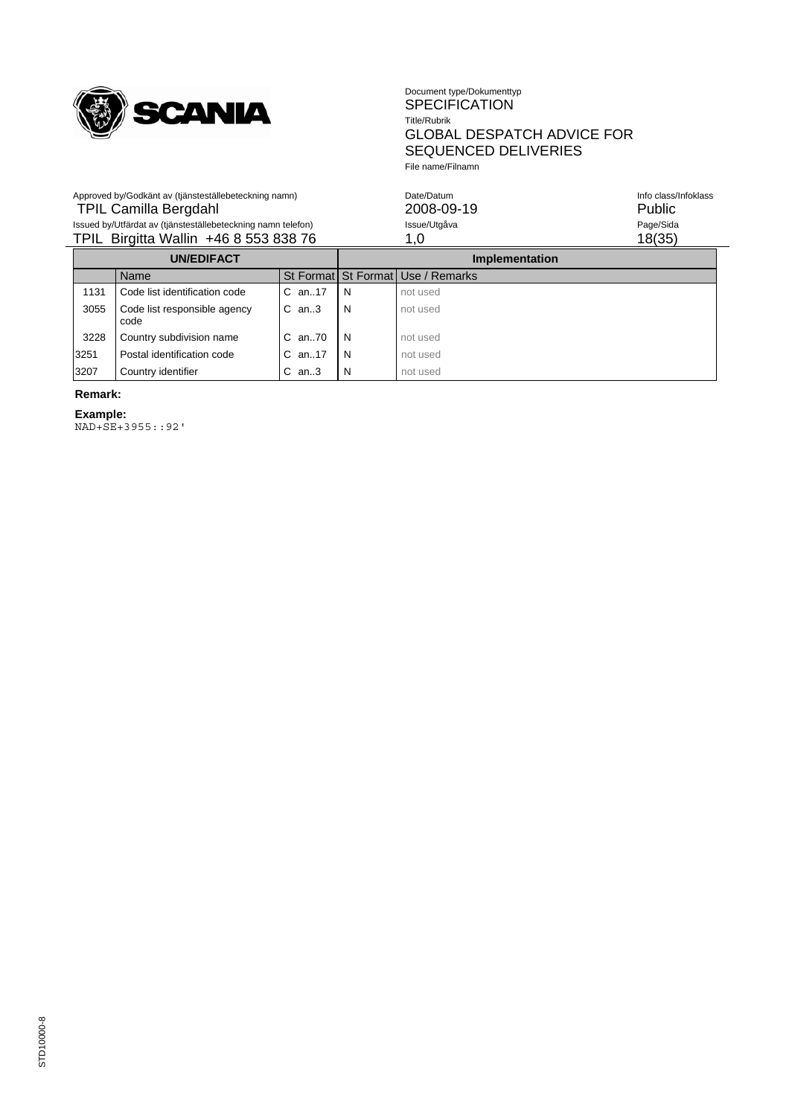

#### Document type/Dokumenttyp SPECIFICATION Title/Rubrik GLOBAL DESPATCH ADVICE FOR SEQUENCED DELIVERIES File name/Filnamn

| Approved by/Godkänt av (tjänsteställebeteckning namn)        | Date/Datum   | Info class/Infoklass |
|--------------------------------------------------------------|--------------|----------------------|
| <b>TPIL Camilla Bergdahl</b>                                 | 2008-09-19   | <b>Public</b>        |
| Issued by/Utfärdat av (tjänsteställebeteckning namn telefon) | Issue/Utgåva | Page/Sida            |
| TPIL Birgitta Wallin +46 8 553 838 76                        | 1.0          | 18(35)               |
|                                                              |              |                      |

| <b>UN/EDIFACT</b> |                                      |              | <b>Implementation</b> |                                   |
|-------------------|--------------------------------------|--------------|-----------------------|-----------------------------------|
|                   | Name                                 |              |                       | St Format St Format Use / Remarks |
| 1131              | Code list identification code        | $C$ an. 17   | N                     | not used                          |
| 3055              | Code list responsible agency<br>code | $C$ an3      | N                     | not used                          |
| 3228              | Country subdivision name             | $C$ an. $70$ | -N                    | not used                          |
| 3251              | Postal identification code           | $C$ an. 17   | N                     | not used                          |
| 3207              | Country identifier                   | $C$ an3      | N                     | not used                          |

# **Remark:**

**Example:** NAD+SE+3955::92'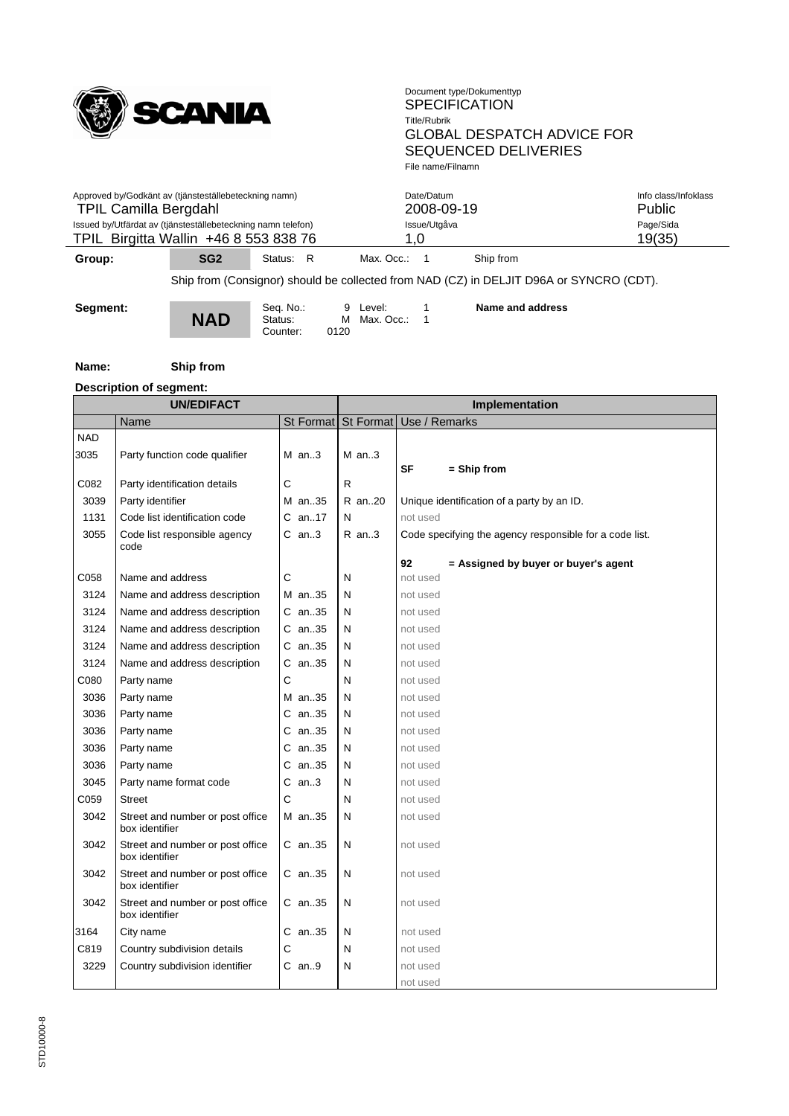

| Approved by/Godkänt av (tjänsteställebeteckning namn)        | Date/Datum   | Info class/Infoklass |
|--------------------------------------------------------------|--------------|----------------------|
| <b>TPIL Camilla Bergdahl</b>                                 | 2008-09-19   | <b>Public</b>        |
| Issued by/Utfärdat av (tjänsteställebeteckning namn telefon) | Issue/Utgåva | Page/Sida            |
| TPIL Birgitta Wallin +46 8 553 838 76                        | 1.0          | 19(35)               |
| $- - -$<br>$\sim$ $\sim$                                     |              |                      |

**Group:** SG2 Status: R Max. Occ.: 1 Ship from

Ship from (Consignor) should be collected from NAD (CZ) in DELJIT D96A or SYNCRO (CDT).

Seq. No.: 9 Level: 1<br>**NAD** Status: M Max. Occ.: 1

Counter: 0120

**Name and address**

#### **Name: Ship from**

# **Description of segment:**

| <b>UN/EDIFACT</b> |                                                    | Implementation |                                   |                                                         |  |
|-------------------|----------------------------------------------------|----------------|-----------------------------------|---------------------------------------------------------|--|
|                   | Name                                               |                | St Format St Format Use / Remarks |                                                         |  |
| <b>NAD</b>        |                                                    |                |                                   |                                                         |  |
| 3035              | Party function code qualifier                      | $M$ an3        | $M$ an3                           |                                                         |  |
|                   |                                                    |                |                                   | SF<br>$=$ Ship from                                     |  |
| C082              | Party identification details                       | С              | R                                 |                                                         |  |
| 3039              | Party identifier                                   | M an35         | R an20                            | Unique identification of a party by an ID.              |  |
| 1131              | Code list identification code                      | C an17         | N                                 | not used                                                |  |
| 3055              | Code list responsible agency<br>code               | $C$ an3        | $R$ an3                           | Code specifying the agency responsible for a code list. |  |
|                   |                                                    |                |                                   | 92<br>= Assigned by buyer or buyer's agent              |  |
| C058              | Name and address                                   | C              | N                                 | not used                                                |  |
| 3124              | Name and address description                       | M an35         | N                                 | not used                                                |  |
| 3124              | Name and address description                       | C an35         | N                                 | not used                                                |  |
| 3124              | Name and address description                       | $C$ an35       | N                                 | not used                                                |  |
| 3124              | Name and address description                       | $C$ an35       | N                                 | not used                                                |  |
| 3124              | Name and address description                       | $C$ an35       | N                                 | not used                                                |  |
| C080              | Party name                                         | C              | N                                 | not used                                                |  |
| 3036              | Party name                                         | M an35         | N                                 | not used                                                |  |
| 3036              | Party name                                         | C an35         | N                                 | not used                                                |  |
| 3036              | Party name                                         | $C$ an35       | N                                 | not used                                                |  |
| 3036              | Party name                                         | $C$ an35       | N                                 | not used                                                |  |
| 3036              | Party name                                         | $C$ an35       | N                                 | not used                                                |  |
| 3045              | Party name format code                             | $C$ an3        | N                                 | not used                                                |  |
| C059              | <b>Street</b>                                      | С              | N                                 | not used                                                |  |
| 3042              | Street and number or post office<br>box identifier | M an35         | N                                 | not used                                                |  |
| 3042              | Street and number or post office<br>box identifier | $C$ an35       | N                                 | not used                                                |  |
| 3042              | Street and number or post office<br>box identifier | $C$ an35       | N                                 | not used                                                |  |
| 3042              | Street and number or post office<br>box identifier | C an35         | N                                 | not used                                                |  |
| 3164              | City name                                          | $C$ an35       | N                                 | not used                                                |  |
| C819              | Country subdivision details                        | C              | N                                 | not used                                                |  |
| 3229              | Country subdivision identifier                     | $C$ an9        | N                                 | not used                                                |  |
|                   |                                                    |                |                                   | not used                                                |  |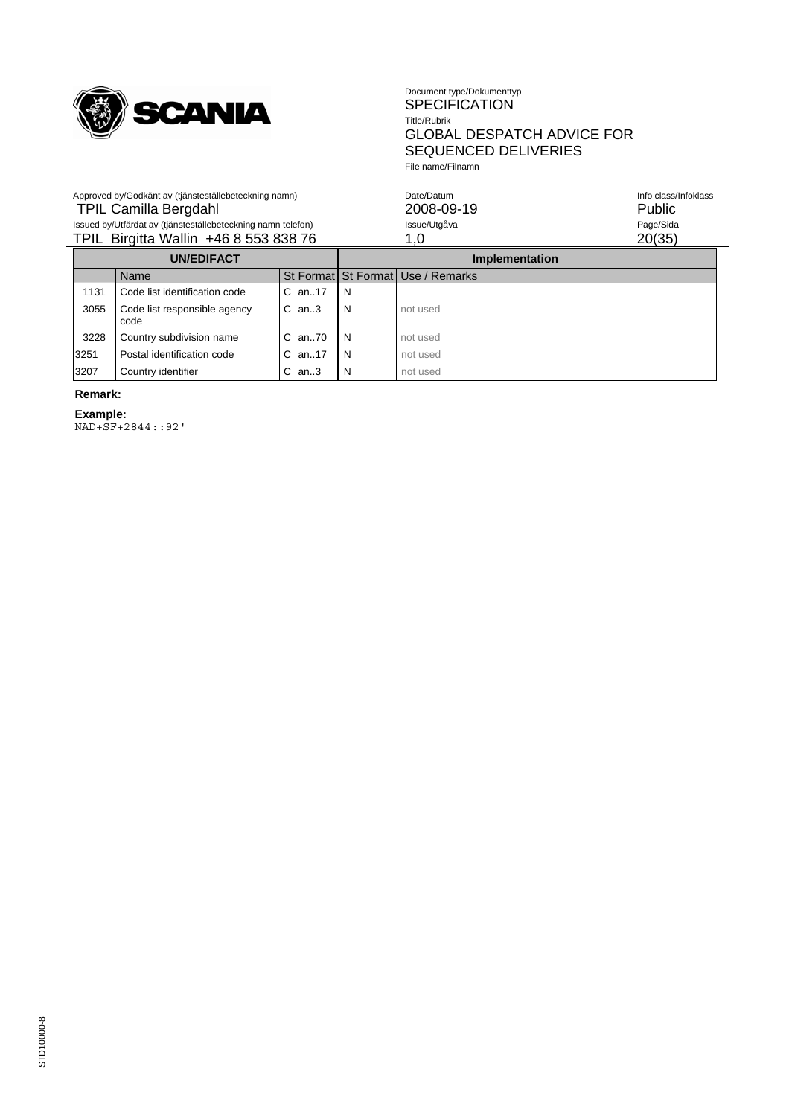

Approved by/Godkänt av (tjänsteställebeteckning namn)

#### Document type/Dokumenttyp SPECIFICATION Title/Rubrik GLOBAL DESPATCH ADVICE FOR SEQUENCED DELIVERIES File name/Filnamn

| Approved by/Godkänt av (tjänsteställebeteckning namn)        | Date/Datum   | Info class/Infoklass |
|--------------------------------------------------------------|--------------|----------------------|
| <b>TPIL Camilla Bergdahl</b>                                 | 2008-09-19   | Public               |
| Issued by/Utfärdat av (tjänsteställebeteckning namn telefon) | Issue/Utgåva | Page/Sida            |
| TPIL Birgitta Wallin +46 8 553 838 76                        |              | 20(35)               |
|                                                              |              |                      |

| <b>UN/EDIFACT</b> |                                      |              | <b>Implementation</b> |                                   |
|-------------------|--------------------------------------|--------------|-----------------------|-----------------------------------|
|                   | Name                                 |              |                       | St Format St Format Use / Remarks |
| 1131              | Code list identification code        | $C$ an. 17   | -N                    |                                   |
| 3055              | Code list responsible agency<br>code | $C$ an. $3$  | N                     | not used                          |
| 3228              | Country subdivision name             | $C$ an. $70$ | -N                    | not used                          |
| 3251              | Postal identification code           | $C$ an. 17   | -N                    | not used                          |
| 3207              | Country identifier                   | $C$ an3      | N.                    | not used                          |

# **Remark:**

**Example:** NAD+SF+2844::92'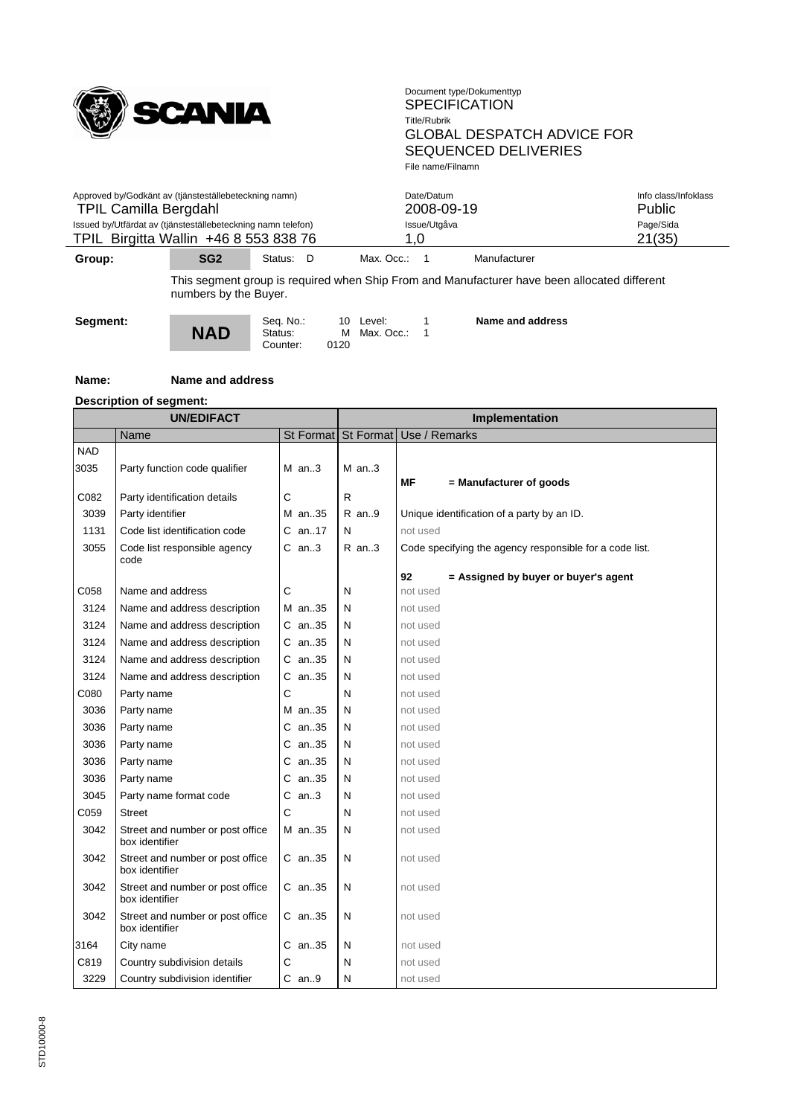

|                                       | ---                                                          |  |              |                      |
|---------------------------------------|--------------------------------------------------------------|--|--------------|----------------------|
| TPIL Birgitta Wallin +46 8 553 838 76 |                                                              |  |              | 21(35)               |
|                                       | Issued by/Utfärdat av (tjänsteställebeteckning namn telefon) |  | Issue/Utgåva | Page/Sida            |
| <b>TPIL Camilla Bergdahl</b>          |                                                              |  | 2008-09-19   | <b>Public</b>        |
|                                       | Approved by/Godkänt av (tjänsteställebeteckning namn)        |  | Date/Datum   | Info class/Infoklass |
|                                       |                                                              |  |              |                      |

**Group: SG2** Status: D Max. Occ.: 1 Manufacturer

This segment group is required when Ship From and Manufacturer have been allocated different numbers by the Buyer.



Counter:

Seq. No.: 10 Level: 1<br>**NAD** Status: M Max. Occ.: 1

**Name and address**

#### **Name: Name and address**

#### **Description of segment:**

| <b>UN/EDIFACT</b> |                                                    |              | Implementation |                                                         |  |  |
|-------------------|----------------------------------------------------|--------------|----------------|---------------------------------------------------------|--|--|
|                   | Name                                               |              |                | St Format   St Format   Use / Remarks                   |  |  |
| <b>NAD</b>        |                                                    |              |                |                                                         |  |  |
| 3035              | Party function code qualifier                      | $M$ an3      | $M$ an3        |                                                         |  |  |
|                   |                                                    |              |                | ΜF<br>= Manufacturer of goods                           |  |  |
| C082              | Party identification details                       | $\mathsf{C}$ | $\mathsf{R}$   |                                                         |  |  |
| 3039              | Party identifier                                   | M an35       | R an9          | Unique identification of a party by an ID.              |  |  |
| 1131              | Code list identification code                      | $C$ an17     | N              | not used                                                |  |  |
| 3055              | Code list responsible agency<br>code               | $C$ an3      | $R$ an3        | Code specifying the agency responsible for a code list. |  |  |
|                   |                                                    |              |                | 92<br>= Assigned by buyer or buyer's agent              |  |  |
| C058              | Name and address                                   | C            | N              | not used                                                |  |  |
| 3124              | Name and address description                       | M an35       | N              | not used                                                |  |  |
| 3124              | Name and address description                       | C an35       | N              | not used                                                |  |  |
| 3124              | Name and address description                       | C an35       | N              | not used                                                |  |  |
| 3124              | Name and address description                       | $C$ an. 35   | N              | not used                                                |  |  |
| 3124              | Name and address description                       | $C$ an. 35   | N              | not used                                                |  |  |
| C080              | Party name                                         | $\mathsf{C}$ | N              | not used                                                |  |  |
| 3036              | Party name                                         | M an35       | N              | not used                                                |  |  |
| 3036              | Party name                                         | C an35       | N              | not used                                                |  |  |
| 3036              | Party name                                         | $C$ an. 35   | N              | not used                                                |  |  |
| 3036              | Party name                                         | C an35       | N              | not used                                                |  |  |
| 3036              | Party name                                         | C an35       | N              | not used                                                |  |  |
| 3045              | Party name format code                             | $C$ an3      | N              | not used                                                |  |  |
| C059              | <b>Street</b>                                      | C            | N              | not used                                                |  |  |
| 3042              | Street and number or post office                   | M an35       | N              | not used                                                |  |  |
|                   | box identifier                                     |              |                |                                                         |  |  |
| 3042              | Street and number or post office                   | $C$ an. 35   | N              | not used                                                |  |  |
|                   | box identifier                                     |              |                |                                                         |  |  |
| 3042              | Street and number or post office<br>box identifier | C an35       | N              | not used                                                |  |  |
| 3042              | Street and number or post office<br>box identifier | C an35       | N              | not used                                                |  |  |
| 3164              | City name                                          | C an35       | N              | not used                                                |  |  |
| C819              | Country subdivision details                        | C            | N              | not used                                                |  |  |
| 3229              | Country subdivision identifier                     | $C$ an9      | N              | not used                                                |  |  |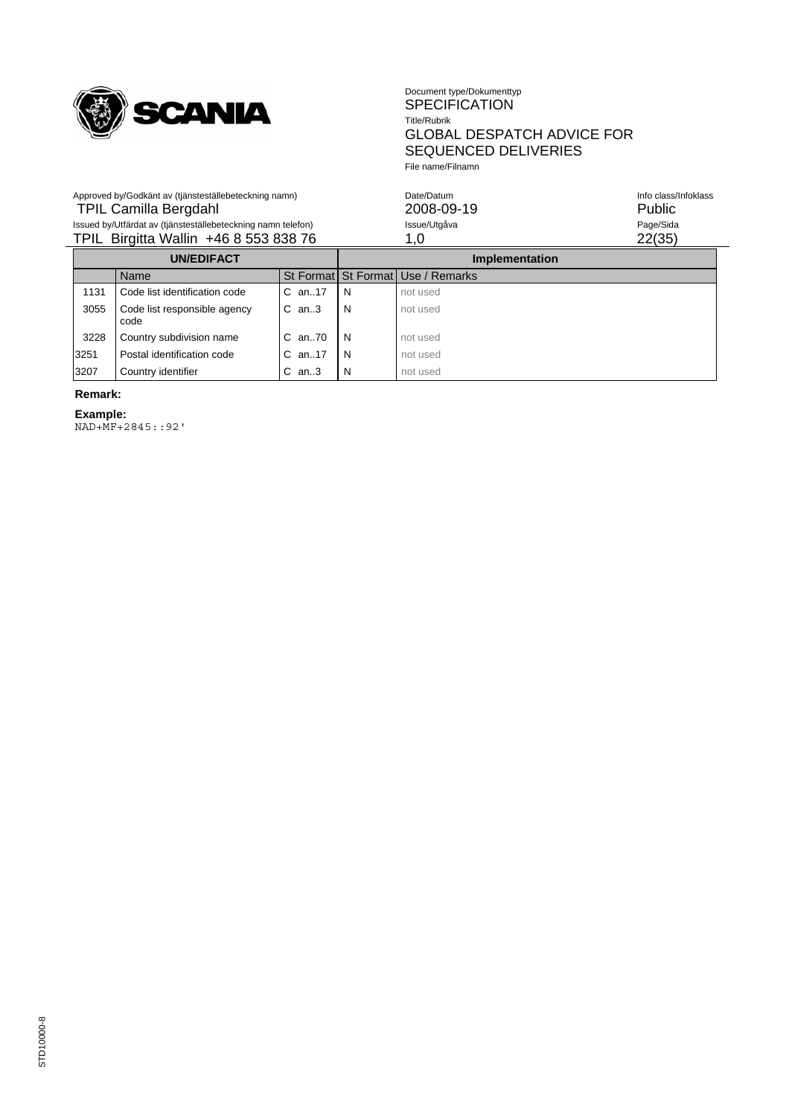

#### Document type/Dokumenttyp SPECIFICATION Title/Rubrik GLOBAL DESPATCH ADVICE FOR SEQUENCED DELIVERIES File name/Filnamn

| Approved by/Godkänt av (tjänsteställebeteckning namn)        | Date/Datum   | Info class/Infoklass |
|--------------------------------------------------------------|--------------|----------------------|
| <b>TPIL Camilla Bergdahl</b>                                 | 2008-09-19   | Public               |
| Issued by/Utfärdat av (tjänsteställebeteckning namn telefon) | Issue/Utgåva | Page/Sida            |
| TPIL Birgitta Wallin +46 8 553 838 76                        |              | 22(35)               |
|                                                              |              |                      |

| <b>UN/EDIFACT</b> |                                      |              | <b>Implementation</b> |                                   |
|-------------------|--------------------------------------|--------------|-----------------------|-----------------------------------|
|                   | Name                                 |              |                       | St Format St Format Use / Remarks |
| 1131              | Code list identification code        | $C$ an. 17   | N                     | not used                          |
| 3055              | Code list responsible agency<br>code | $C$ an3      | N                     | not used                          |
| 3228              | Country subdivision name             | $C$ an. $70$ | N                     | not used                          |
| 3251              | Postal identification code           | $C$ an. 17   | N                     | not used                          |
| 3207              | Country identifier                   | $C$ an3      | N                     | not used                          |

# **Remark:**

**Example:** NAD+MF+2845::92'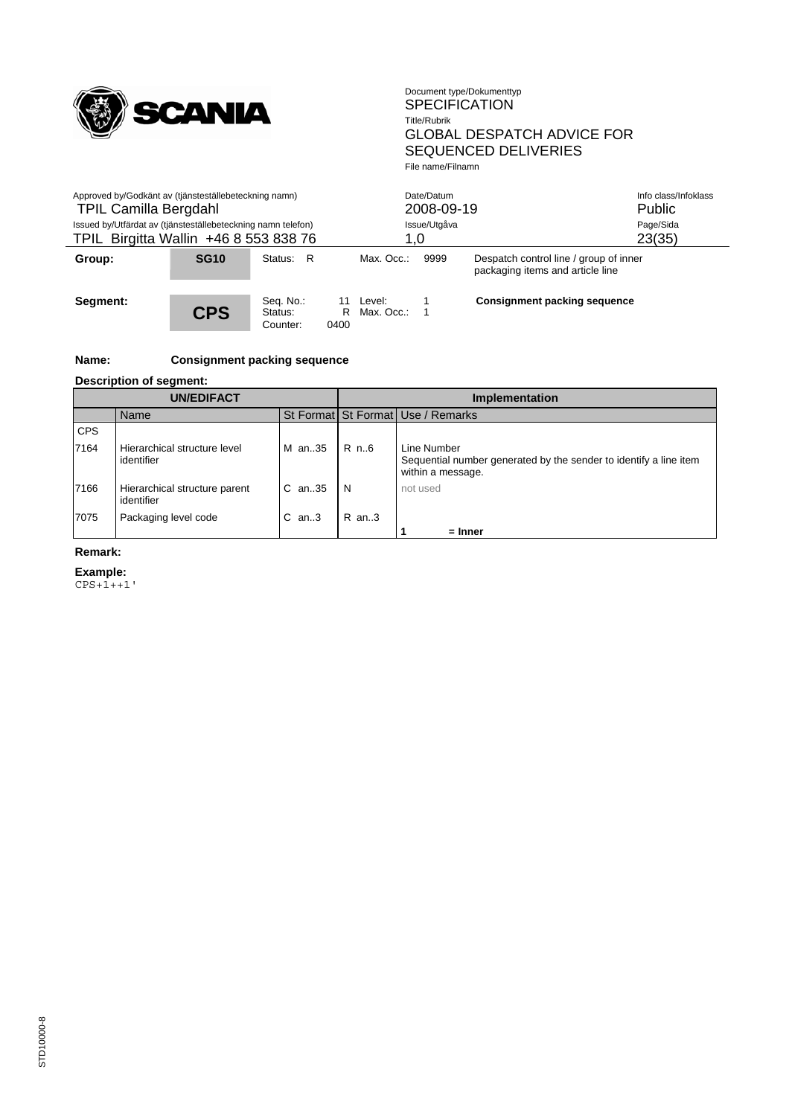

| Approved by/Godkänt av (tjänsteställebeteckning namn)<br><b>TPIL Camilla Bergdahl</b><br>Issued by/Utfärdat av (tjänsteställebeteckning namn telefon)<br>TPIL Birgitta Wallin +46 8 553 838 76 |             |                                  | Date/Datum<br>2008-09-19<br>Issue/Utgåva<br>1,0 |                      |      |                                                                            | Info class/Infoklass<br><b>Public</b><br>Page/Sida<br>23(35) |
|------------------------------------------------------------------------------------------------------------------------------------------------------------------------------------------------|-------------|----------------------------------|-------------------------------------------------|----------------------|------|----------------------------------------------------------------------------|--------------------------------------------------------------|
| Group:                                                                                                                                                                                         | <b>SG10</b> | - R<br>Status:                   |                                                 | Max. Occ.:           | 9999 | Despatch control line / group of inner<br>packaging items and article line |                                                              |
| Segment:                                                                                                                                                                                       | <b>CPS</b>  | Seq. No.:<br>Status:<br>Counter: | 11<br>R<br>0400                                 | Level:<br>Max. Occ.: |      | Consignment packing sequence                                               |                                                              |

# **Name: Consignment packing sequence**

# **Description of segment:**

|            | <b>UN/EDIFACT</b>                           |         | <b>Implementation</b> |                                                                                                       |  |  |
|------------|---------------------------------------------|---------|-----------------------|-------------------------------------------------------------------------------------------------------|--|--|
|            | Name                                        |         |                       | St Format St Format Use / Remarks                                                                     |  |  |
| <b>CPS</b> |                                             |         |                       |                                                                                                       |  |  |
| 7164       | Hierarchical structure level<br>identifier  | M an35  | R n.6                 | Line Number<br>Sequential number generated by the sender to identify a line item<br>within a message. |  |  |
| 7166       | Hierarchical structure parent<br>identifier | C an35  | N                     | not used                                                                                              |  |  |
| 7075       | Packaging level code                        | $C$ an3 | $R$ an. 3             |                                                                                                       |  |  |
|            |                                             |         |                       | $=$ Inner                                                                                             |  |  |

### **Remark:**

**Example:**

CPS+1++1'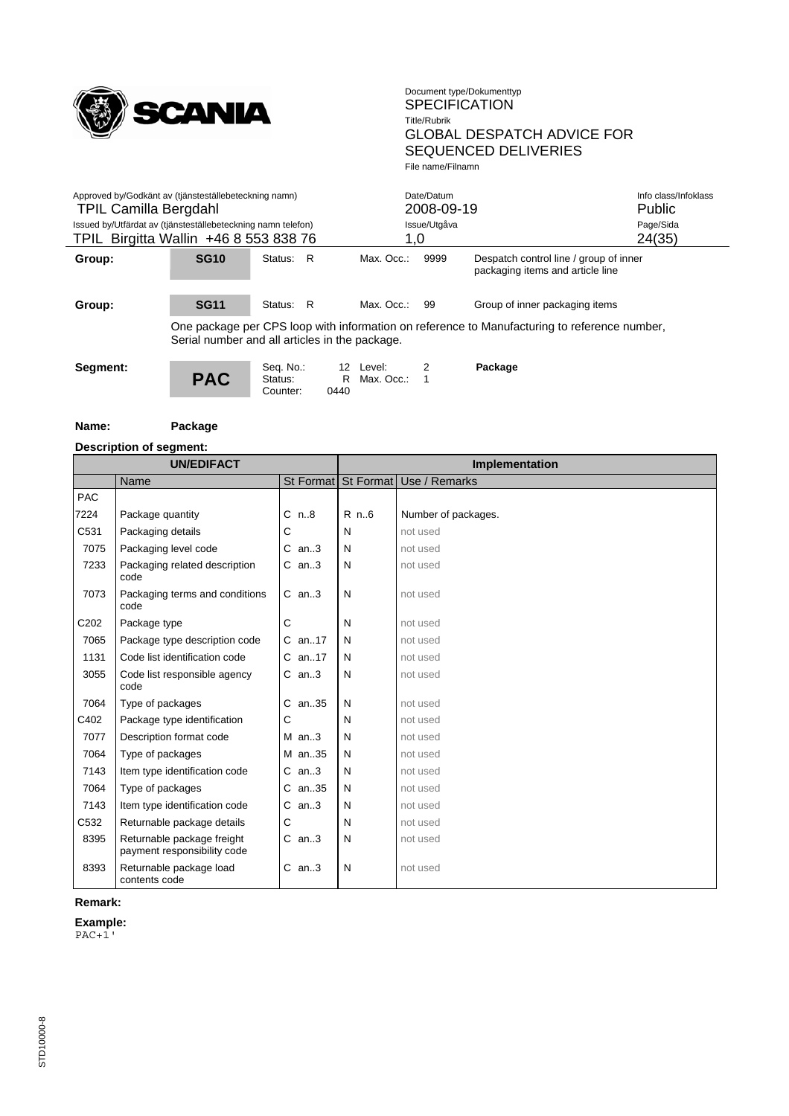

 $\overline{\phantom{0}}$ 

| Approved by/Godkänt av (tjänsteställebeteckning namn)<br><b>TPIL Camilla Bergdahl</b><br>Issued by/Utfärdat av (tjänsteställebeteckning namn telefon)<br>TPIL Birgitta Wallin +46 8 553 838 76 |                                                                                                                                                |                      |               |                           | Date/Datum<br>2008-09-19 |                                                                            | Info class/Infoklass<br><b>Public</b> |  |
|------------------------------------------------------------------------------------------------------------------------------------------------------------------------------------------------|------------------------------------------------------------------------------------------------------------------------------------------------|----------------------|---------------|---------------------------|--------------------------|----------------------------------------------------------------------------|---------------------------------------|--|
|                                                                                                                                                                                                |                                                                                                                                                |                      |               |                           | Issue/Utgåva             |                                                                            | Page/Sida<br>24(35)                   |  |
|                                                                                                                                                                                                |                                                                                                                                                |                      |               | 1.0                       |                          |                                                                            |                                       |  |
| Group:                                                                                                                                                                                         | <b>SG10</b>                                                                                                                                    | Status:              | - R           | Max. Occ.:                | 9999                     | Despatch control line / group of inner<br>packaging items and article line |                                       |  |
| Group:                                                                                                                                                                                         | <b>SG11</b>                                                                                                                                    | Status:              | R             | Max. Occ.:                | 99                       | Group of inner packaging items                                             |                                       |  |
|                                                                                                                                                                                                | One package per CPS loop with information on reference to Manufacturing to reference number,<br>Serial number and all articles in the package. |                      |               |                           |                          |                                                                            |                                       |  |
| Segment:                                                                                                                                                                                       | <b>PAC</b>                                                                                                                                     | Seq. No.:<br>Status: | $\sim$ $\sim$ | 12 Level:<br>R Max. Occ.: |                          | Package                                                                    |                                       |  |

Counter: 0440

| Name: |  |
|-------|--|
|-------|--|

**Package** 

|            | <b>Description of segment:</b>                            |           |        |                                   |  |  |
|------------|-----------------------------------------------------------|-----------|--------|-----------------------------------|--|--|
|            | <b>UN/EDIFACT</b>                                         |           |        | Implementation                    |  |  |
|            | Name                                                      |           |        | St Format St Format Use / Remarks |  |  |
| <b>PAC</b> |                                                           |           |        |                                   |  |  |
| 7224       | Package quantity                                          | $C_{n.8}$ | $R$ n6 | Number of packages.               |  |  |
| C531       | Packaging details                                         | С         | N      | not used                          |  |  |
| 7075       | Packaging level code                                      | $C$ an3   | N      | not used                          |  |  |
| 7233       | Packaging related description<br>code                     | $C$ an3   | N      | not used                          |  |  |
| 7073       | Packaging terms and conditions<br>code                    | $C$ an3   | N      | not used                          |  |  |
| C202       | Package type                                              | С         | N      | not used                          |  |  |
| 7065       | Package type description code                             | C an17    | N      | not used                          |  |  |
| 1131       | Code list identification code                             | $C$ an17  | N      | not used                          |  |  |
| 3055       | Code list responsible agency<br>code                      | $C$ an3   | N      | not used                          |  |  |
| 7064       | Type of packages                                          | C an35    | N      | not used                          |  |  |
| C402       | Package type identification                               | С         | N      | not used                          |  |  |
| 7077       | Description format code                                   | $M$ an3   | N      | not used                          |  |  |
| 7064       | Type of packages                                          | M an35    | N      | not used                          |  |  |
| 7143       | Item type identification code                             | $C$ an3   | N      | not used                          |  |  |
| 7064       | Type of packages                                          | C an35    | N      | not used                          |  |  |
| 7143       | Item type identification code                             | $C$ an3   | N      | not used                          |  |  |
| C532       | Returnable package details                                | С         | N      | not used                          |  |  |
| 8395       | Returnable package freight<br>payment responsibility code | $C$ an3   | N      | not used                          |  |  |
| 8393       | Returnable package load<br>contents code                  | $C$ an3   | N      | not used                          |  |  |

**Remark:**

**Example:**

PAC+1'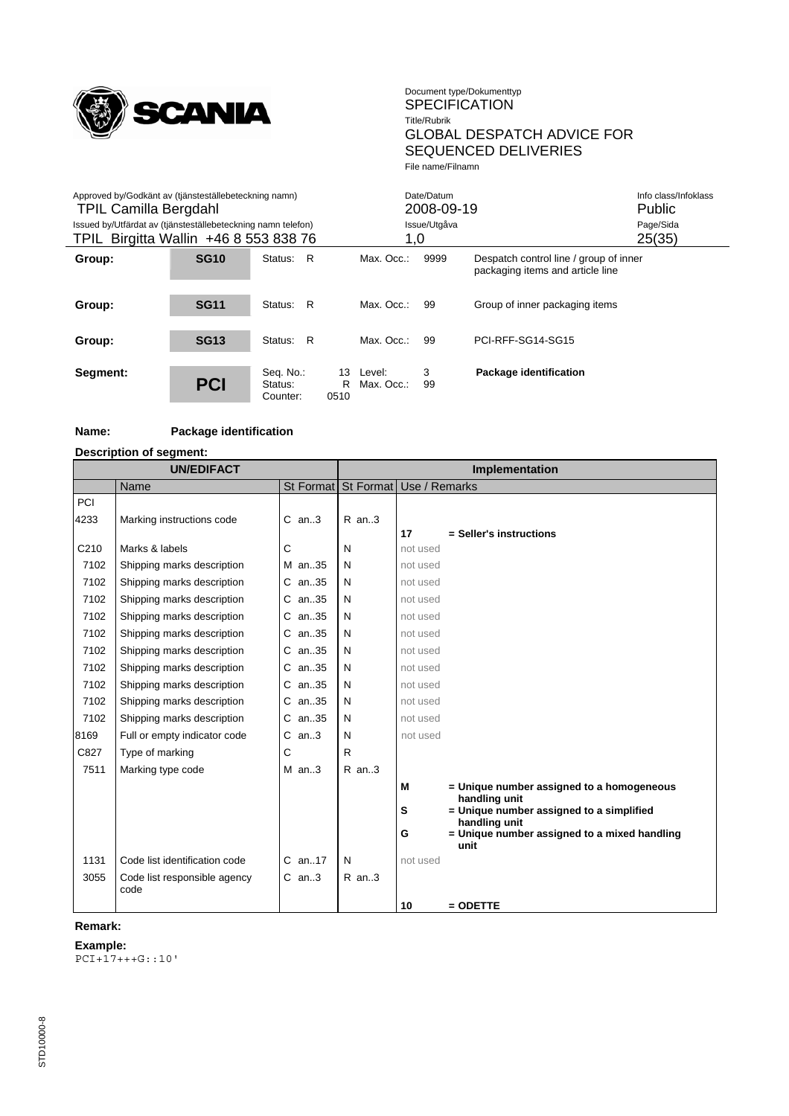

| Approved by/Godkänt av (tjänsteställebeteckning namn)<br><b>TPIL Camilla Bergdahl</b><br>Issued by/Utfärdat av (tjänsteställebeteckning namn telefon)<br>TPIL Birgitta Wallin +46 8 553 838 76 |             |                                  |                 | 1.0                  | Date/Datum<br>2008-09-19<br>Issue/Utgåva |                                                                            | Info class/Infoklass<br><b>Public</b><br>Page/Sida<br>25(35) |
|------------------------------------------------------------------------------------------------------------------------------------------------------------------------------------------------|-------------|----------------------------------|-----------------|----------------------|------------------------------------------|----------------------------------------------------------------------------|--------------------------------------------------------------|
| Group:                                                                                                                                                                                         | <b>SG10</b> | R<br>Status:                     |                 | Max. Occ.:           | 9999                                     | Despatch control line / group of inner<br>packaging items and article line |                                                              |
| Group:                                                                                                                                                                                         | <b>SG11</b> | Status: R                        |                 | Max. Occ.:           | 99                                       | Group of inner packaging items                                             |                                                              |
| Group:                                                                                                                                                                                         | <b>SG13</b> | R<br>Status:                     |                 | Max. Occ.:           | 99                                       | PCI-RFF-SG14-SG15                                                          |                                                              |
| Segment:                                                                                                                                                                                       | <b>PCI</b>  | Seq. No.:<br>Status:<br>Counter: | 13<br>R<br>0510 | Level:<br>Max. Occ.: | 3<br>99                                  | Package identification                                                     |                                                              |

# **Name: Package identification**

#### **Description of segment:**

|      | <b>UN/EDIFACT</b>             |            | <b>Implementation</b> |                                                                    |  |  |
|------|-------------------------------|------------|-----------------------|--------------------------------------------------------------------|--|--|
|      | Name                          | St Format  |                       | St Format   Use / Remarks                                          |  |  |
| PCI  |                               |            |                       |                                                                    |  |  |
| 4233 | Marking instructions code     | $C$ an3    | $R$ an3               |                                                                    |  |  |
|      |                               |            |                       | 17<br>= Seller's instructions                                      |  |  |
| C210 | Marks & labels                | C          | N                     | not used                                                           |  |  |
| 7102 | Shipping marks description    | M an35     | N                     | not used                                                           |  |  |
| 7102 | Shipping marks description    | C an35     | N                     | not used                                                           |  |  |
| 7102 | Shipping marks description    | C an35     | N                     | not used                                                           |  |  |
| 7102 | Shipping marks description    | C an35     | N                     | not used                                                           |  |  |
| 7102 | Shipping marks description    | C an35     | N                     | not used                                                           |  |  |
| 7102 | Shipping marks description    | C an35     | N                     | not used                                                           |  |  |
| 7102 | Shipping marks description    | C an35     | N                     | not used                                                           |  |  |
| 7102 | Shipping marks description    | C an35     | N                     | not used                                                           |  |  |
| 7102 | Shipping marks description    | C an35     | N                     | not used                                                           |  |  |
| 7102 | Shipping marks description    | C an35     | N                     | not used                                                           |  |  |
| 8169 | Full or empty indicator code  | $C$ an3    | N                     | not used                                                           |  |  |
| C827 | Type of marking               | С          | R                     |                                                                    |  |  |
| 7511 | Marking type code             | $M$ an3    | R an3                 |                                                                    |  |  |
|      |                               |            |                       | = Unique number assigned to a homogeneous<br>м<br>handling unit    |  |  |
|      |                               |            |                       | = Unique number assigned to a simplified<br>s                      |  |  |
|      |                               |            |                       | handling unit<br>= Unique number assigned to a mixed handling<br>G |  |  |
|      |                               |            |                       | unit                                                               |  |  |
| 1131 | Code list identification code | $C$ an. 17 | N                     | not used                                                           |  |  |
| 3055 | Code list responsible agency  | $C$ an3    | $R$ an3               |                                                                    |  |  |
|      | code                          |            |                       |                                                                    |  |  |
|      |                               |            |                       | 10<br>$=$ ODETTE                                                   |  |  |

# **Remark:**

#### **Example:**

PCI+17+++G::10'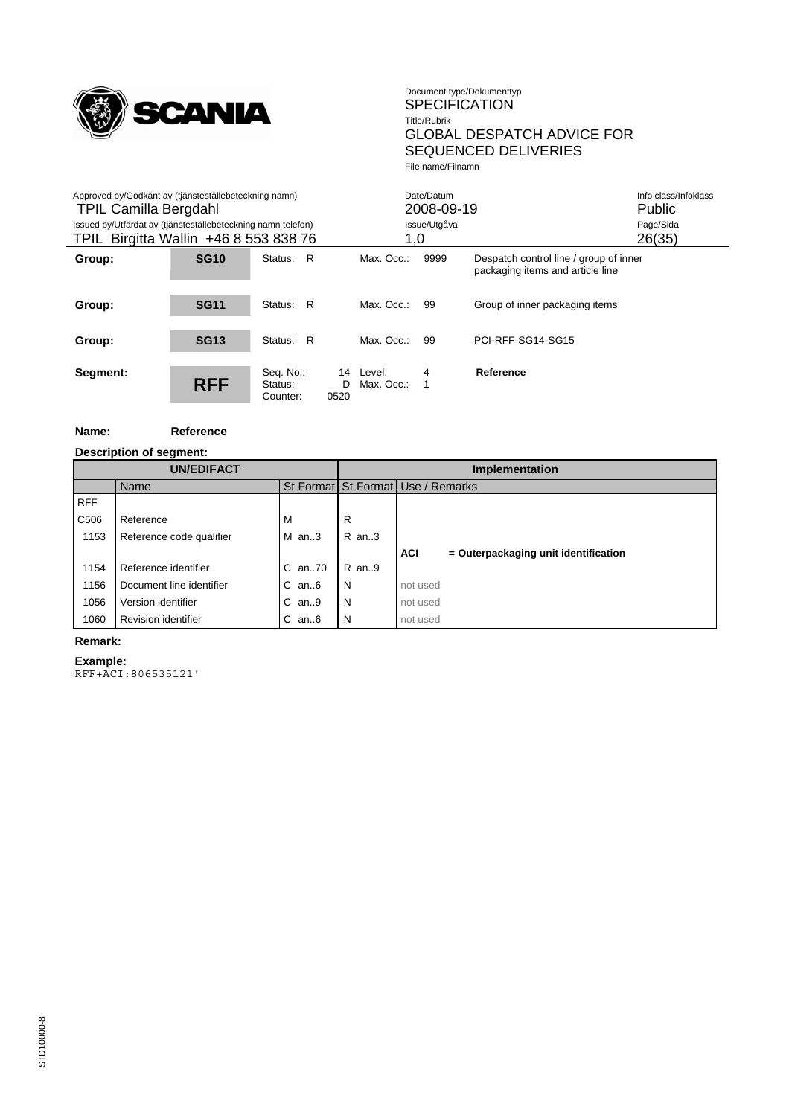

 $\overline{\phantom{0}}$ 

| Approved by/Godkänt av (tjänsteställebeteckning namn)<br><b>TPIL Camilla Bergdahl</b><br>Issued by/Utfärdat av (tjänsteställebeteckning namn telefon)<br>TPIL Birgitta Wallin +46 8 553 838 76 |             |                                  | 1,0                                     | Date/Datum<br>2008-09-19<br>Issue/Utgåva |                                                                            | Info class/Infoklass<br><b>Public</b><br>Page/Sida<br>26(35) |
|------------------------------------------------------------------------------------------------------------------------------------------------------------------------------------------------|-------------|----------------------------------|-----------------------------------------|------------------------------------------|----------------------------------------------------------------------------|--------------------------------------------------------------|
| Group:                                                                                                                                                                                         | <b>SG10</b> | R<br>Status:                     | Max. Occ.:                              | 9999                                     | Despatch control line / group of inner<br>packaging items and article line |                                                              |
| Group:                                                                                                                                                                                         | <b>SG11</b> | R<br>Status:                     | Max. Occ.:                              | 99                                       | Group of inner packaging items                                             |                                                              |
| Group:                                                                                                                                                                                         | <b>SG13</b> | Status: R                        | Max. Occ.:                              | 99                                       | PCI-RFF-SG14-SG15                                                          |                                                              |
| Segment:                                                                                                                                                                                       | <b>RFF</b>  | Seq. No.:<br>Status:<br>Counter: | 14<br>Level:<br>D<br>Max. Occ.:<br>0520 | 4                                        | Reference                                                                  |                                                              |

#### **Name: Reference**

|                  | Description of segment:  |              |         |                                                    |
|------------------|--------------------------|--------------|---------|----------------------------------------------------|
|                  | <b>UN/EDIFACT</b>        |              |         | Implementation                                     |
|                  | Name                     |              |         | St Format St Format Use / Remarks                  |
| <b>RFF</b>       |                          |              |         |                                                    |
| C <sub>506</sub> | Reference                | м            | R       |                                                    |
| 1153             | Reference code qualifier | $M$ an3      | $R$ an3 |                                                    |
|                  |                          |              |         | <b>ACI</b><br>= Outerpackaging unit identification |
| 1154             | Reference identifier     | $C$ an. $70$ | R an9   |                                                    |
| 1156             | Document line identifier | $C$ an $6$   | N       | not used                                           |
| 1056             | Version identifier       | $C$ an9      | N       | not used                                           |
| 1060             | Revision identifier      | $C$ an $6$   | N       | not used                                           |

#### **Remark:**

# **Example:**

RFF+ACI:806535121'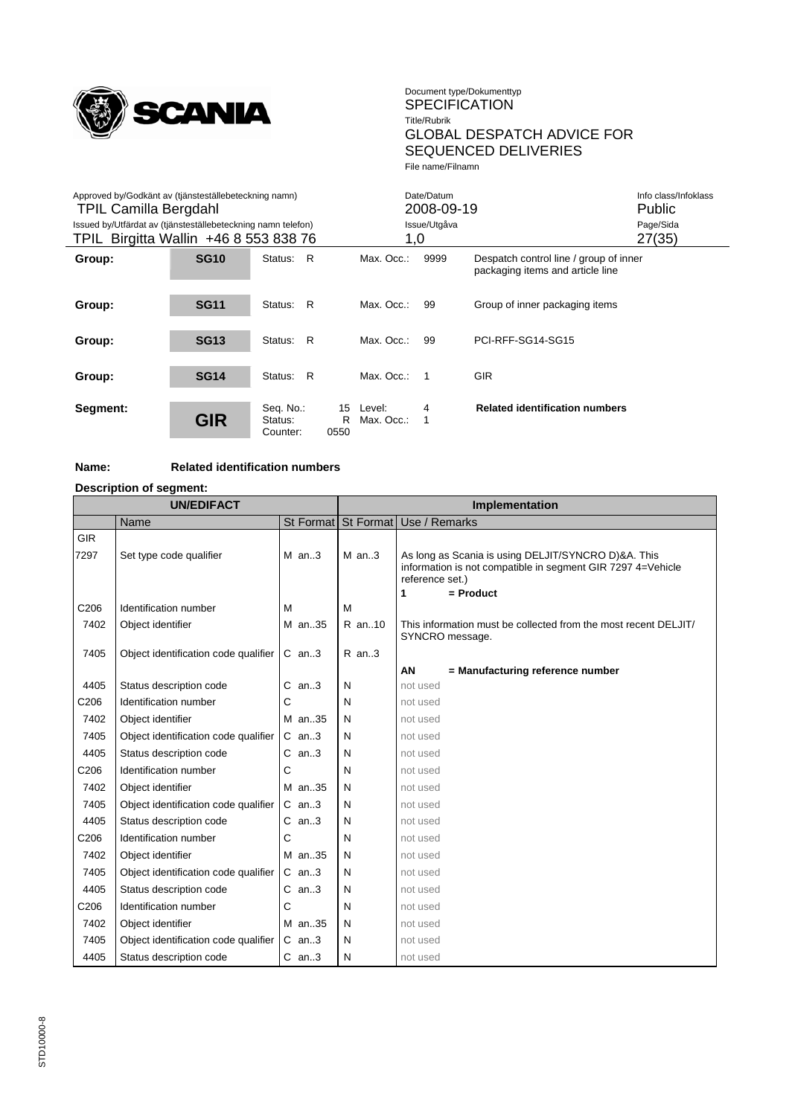

| Approved by/Godkänt av (tjänsteställebeteckning namn)<br><b>TPIL Camilla Bergdahl</b><br>Issued by/Utfärdat av (tjänsteställebeteckning namn telefon) |             |                                  |                 | Date/Datum<br>2008-09-19<br>Issue/Utgåva |                |                                                                            | Info class/Infoklass<br>Public<br>Page/Sida |
|-------------------------------------------------------------------------------------------------------------------------------------------------------|-------------|----------------------------------|-----------------|------------------------------------------|----------------|----------------------------------------------------------------------------|---------------------------------------------|
| TPIL Birgitta Wallin +46 8 553 838 76                                                                                                                 |             |                                  |                 | 1,0                                      |                |                                                                            | 27(35)                                      |
| Group:                                                                                                                                                | <b>SG10</b> | R<br>Status:                     |                 | Max. Occ.:                               | 9999           | Despatch control line / group of inner<br>packaging items and article line |                                             |
| Group:                                                                                                                                                | <b>SG11</b> | R<br>Status:                     |                 | Max. Occ.:                               | 99             | Group of inner packaging items                                             |                                             |
| Group:                                                                                                                                                | <b>SG13</b> | R<br>Status:                     |                 | Max. Occ.:                               | 99             | PCI-RFF-SG14-SG15                                                          |                                             |
| Group:                                                                                                                                                | <b>SG14</b> | Status: R                        |                 | Max. Occ.:                               | $\overline{1}$ | <b>GIR</b>                                                                 |                                             |
| Segment:                                                                                                                                              | <b>GIR</b>  | Seq. No.:<br>Status:<br>Counter: | 15<br>R<br>0550 | Level:<br>Max. Occ.:                     | 4              | <b>Related identification numbers</b>                                      |                                             |

# **Name: Related identification numbers**

**Description of segment:**

| <b>UN/EDIFACT</b>  |                                      |         | Implementation |                                                                                                                                                           |  |  |
|--------------------|--------------------------------------|---------|----------------|-----------------------------------------------------------------------------------------------------------------------------------------------------------|--|--|
|                    | <b>Name</b>                          |         |                | St Format   St Format   Use / Remarks                                                                                                                     |  |  |
| <b>GIR</b><br>7297 | Set type code qualifier              | $M$ an3 | $M$ an3        | As long as Scania is using DELJIT/SYNCRO D)&A. This<br>information is not compatible in segment GIR 7297 4=Vehicle<br>reference set.)<br>$=$ Product<br>1 |  |  |
| C206               | Identification number                | M       | M              |                                                                                                                                                           |  |  |
| 7402               | Object identifier                    | M an35  | R an10         | This information must be collected from the most recent DELJIT/<br>SYNCRO message.                                                                        |  |  |
| 7405               | Object identification code qualifier | $C$ an3 | $R$ an3        |                                                                                                                                                           |  |  |
|                    |                                      |         |                | AN<br>= Manufacturing reference number                                                                                                                    |  |  |
| 4405               | Status description code              | $C$ an3 | N              | not used                                                                                                                                                  |  |  |
| C206               | Identification number                | С       | N              | not used                                                                                                                                                  |  |  |
| 7402               | Object identifier                    | M an35  | N              | not used                                                                                                                                                  |  |  |
| 7405               | Object identification code qualifier | $C$ an3 | N              | not used                                                                                                                                                  |  |  |
| 4405               | Status description code              | $C$ an3 | N              | not used                                                                                                                                                  |  |  |
| C206               | Identification number                | С       | N              | not used                                                                                                                                                  |  |  |
| 7402               | Object identifier                    | M an35  | N              | not used                                                                                                                                                  |  |  |
| 7405               | Object identification code qualifier | $C$ an3 | N              | not used                                                                                                                                                  |  |  |
| 4405               | Status description code              | $C$ an3 | N              | not used                                                                                                                                                  |  |  |
| C206               | Identification number                | С       | N              | not used                                                                                                                                                  |  |  |
| 7402               | Object identifier                    | M an35  | N              | not used                                                                                                                                                  |  |  |
| 7405               | Object identification code qualifier | $C$ an3 | N              | not used                                                                                                                                                  |  |  |
| 4405               | Status description code              | $C$ an3 | N              | not used                                                                                                                                                  |  |  |
| C206               | Identification number                | С       | N              | not used                                                                                                                                                  |  |  |
| 7402               | Object identifier                    | M an35  | N              | not used                                                                                                                                                  |  |  |
| 7405               | Object identification code qualifier | $C$ an3 | N              | not used                                                                                                                                                  |  |  |
| 4405               | Status description code              | $C$ an3 | N              | not used                                                                                                                                                  |  |  |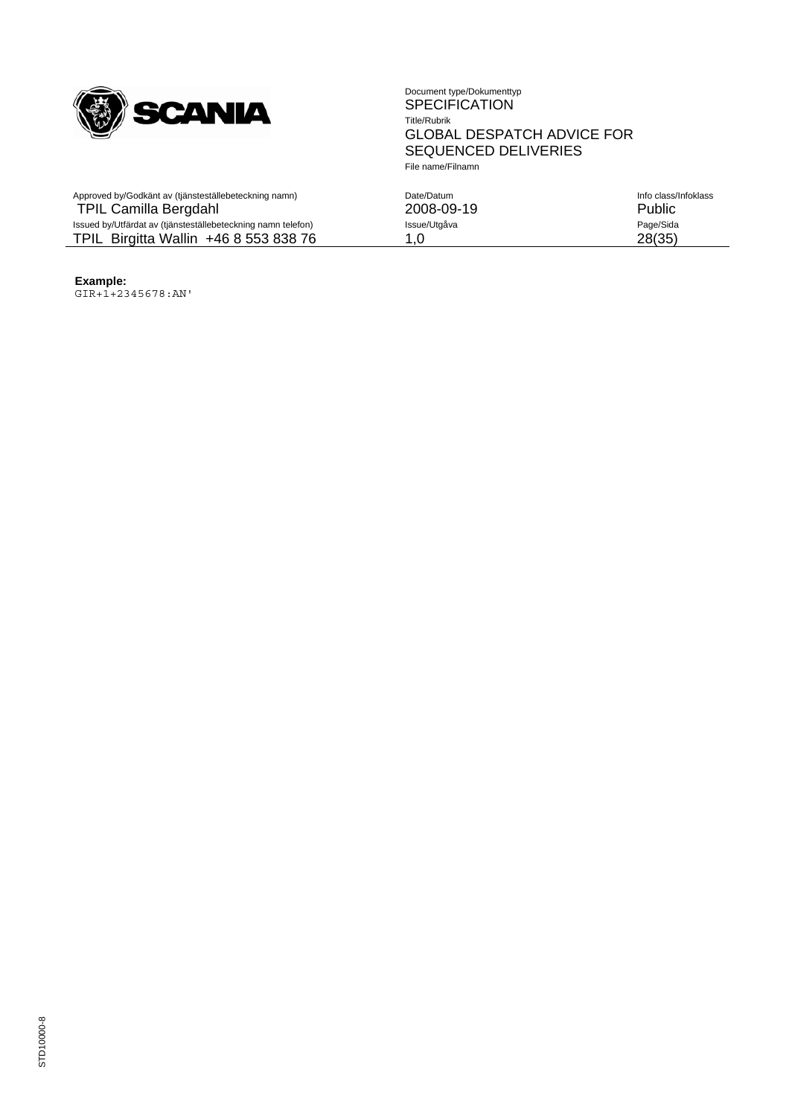

| Approved by/Godkänt av (tjänsteställebeteckning namn)<br><b>TPIL Camilla Bergdahl</b> | Date/Datum<br>2008-09-19 | Info class/Infoklass<br>Public |
|---------------------------------------------------------------------------------------|--------------------------|--------------------------------|
| Issued by/Utfärdat av (tjänsteställebeteckning namn telefon)                          | Issue/Utgåva             | Page/Sida                      |
| TPIL Birgitta Wallin +46 8 553 838 76                                                 | 1.0                      | 28(35)                         |

**Example:** GIR+1+2345678:AN'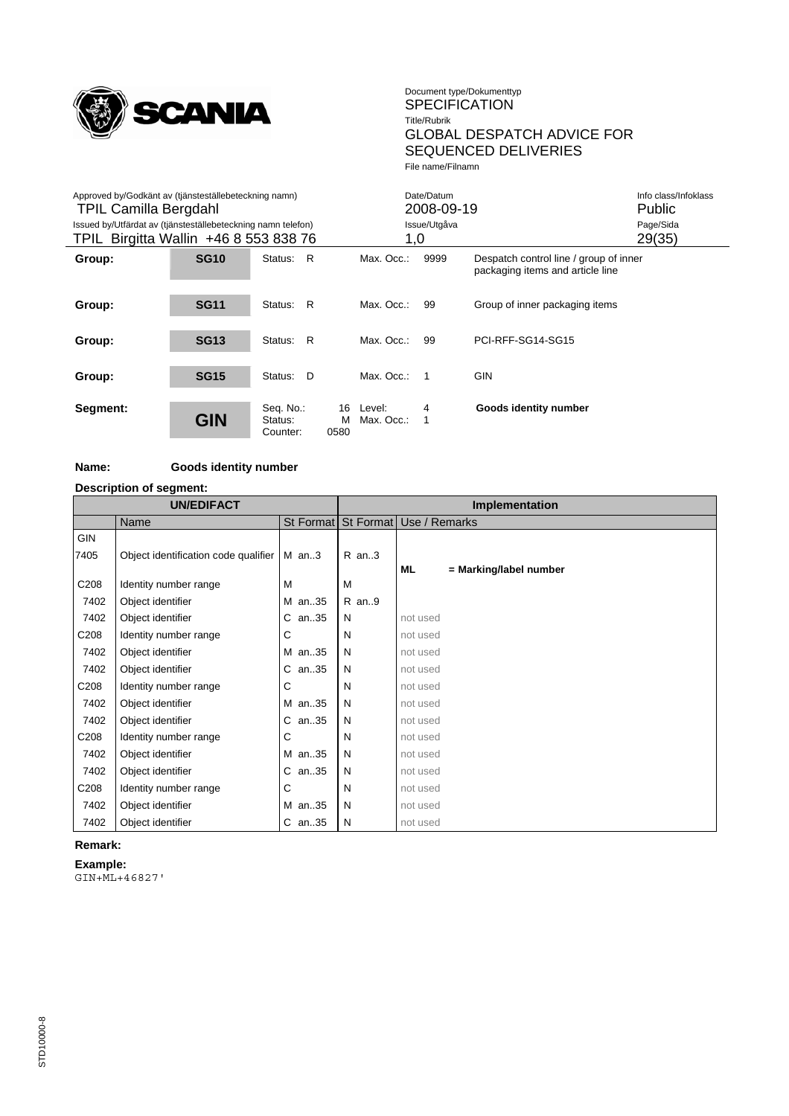

| Approved by/Godkänt av (tjänsteställebeteckning namn)<br><b>TPIL Camilla Bergdahl</b><br>Issued by/Utfärdat av (tjänsteställebeteckning namn telefon)<br>TPIL Birgitta Wallin +46 8 553 838 76 |             |                                  |                 | 1,0                  | Date/Datum<br>2008-09-19<br>Issue/Utgåva |                                                                            | Info class/Infoklass<br><b>Public</b><br>Page/Sida<br>29(35) |
|------------------------------------------------------------------------------------------------------------------------------------------------------------------------------------------------|-------------|----------------------------------|-----------------|----------------------|------------------------------------------|----------------------------------------------------------------------------|--------------------------------------------------------------|
| Group:                                                                                                                                                                                         | <b>SG10</b> | Status: R                        |                 | Max. Occ.:           | 9999                                     | Despatch control line / group of inner<br>packaging items and article line |                                                              |
| Group:                                                                                                                                                                                         | <b>SG11</b> | R<br>Status:                     |                 | Max. Occ.:           | 99                                       | Group of inner packaging items                                             |                                                              |
| Group:                                                                                                                                                                                         | <b>SG13</b> | Status: R                        |                 | Max. Occ.:           | 99                                       | PCI-RFF-SG14-SG15                                                          |                                                              |
| Group:                                                                                                                                                                                         | <b>SG15</b> | Status: D                        |                 | Max. Occ.:           | $\overline{1}$                           | <b>GIN</b>                                                                 |                                                              |
| Segment:                                                                                                                                                                                       | <b>GIN</b>  | Seq. No.:<br>Status:<br>Counter: | 16<br>м<br>0580 | Level:<br>Max. Occ.: | 4<br>1                                   | Goods identity number                                                      |                                                              |

# **Name: Goods identity number**

**Description of segment:**

| <b>UN/EDIFACT</b> |                                      |          | Implementation |                                   |  |  |
|-------------------|--------------------------------------|----------|----------------|-----------------------------------|--|--|
|                   | Name                                 |          |                | St Format St Format Use / Remarks |  |  |
| <b>GIN</b>        |                                      |          |                |                                   |  |  |
| 7405              | Object identification code qualifier | $M$ an3  | $R$ an3        |                                   |  |  |
|                   |                                      |          |                | ML<br>= Marking/label number      |  |  |
| C <sub>208</sub>  | Identity number range                | м        | M              |                                   |  |  |
| 7402              | Object identifier                    | M an35   | $R$ an9        |                                   |  |  |
| 7402              | Object identifier                    | $C$ an35 | N              | not used                          |  |  |
| C <sub>208</sub>  | Identity number range                | С        | N              | not used                          |  |  |
| 7402              | Object identifier                    | M an35   | N              | not used                          |  |  |
| 7402              | Object identifier                    | C an35   | N              | not used                          |  |  |
| C <sub>208</sub>  | Identity number range                | С        | N              | not used                          |  |  |
| 7402              | Object identifier                    | M an35   | N              | not used                          |  |  |
| 7402              | Object identifier                    | C an35   | N              | not used                          |  |  |
| C <sub>208</sub>  | Identity number range                | С        | N              | not used                          |  |  |
| 7402              | Object identifier                    | M an35   | N              | not used                          |  |  |
| 7402              | Object identifier                    | C an35   | N              | not used                          |  |  |
| C208              | Identity number range                | С        | N              | not used                          |  |  |
| 7402              | Object identifier                    | M an35   | N              | not used                          |  |  |
| 7402              | Object identifier                    | C an35   | N              | not used                          |  |  |

#### **Remark:**

**Example:** GIN+ML+46827'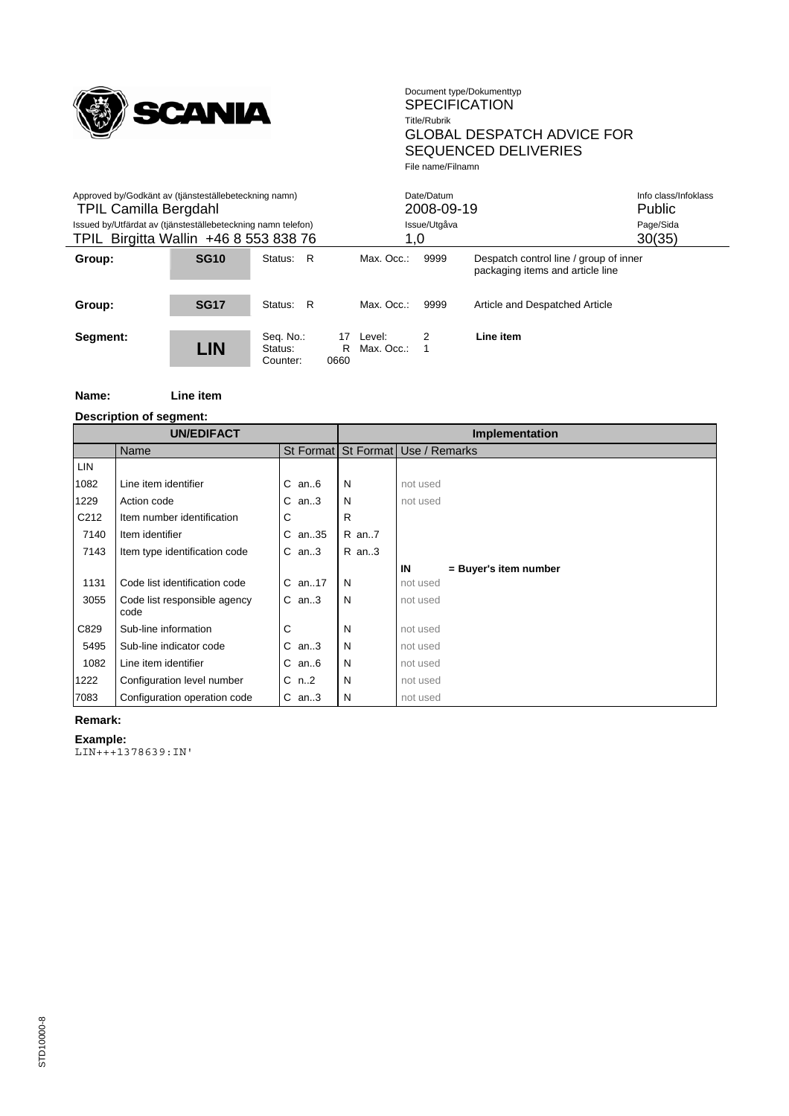

| Approved by/Godkänt av (tjänsteställebeteckning namn)<br><b>TPIL Camilla Bergdahl</b><br>Issued by/Utfärdat av (tjänsteställebeteckning namn telefon)<br>TPIL Birgitta Wallin +46 8 553 838 76 |             |                                  |                 | 1,0                  | Date/Datum<br>2008-09-19<br>Issue/Utgåva |                                                                            | Info class/Infoklass<br><b>Public</b><br>Page/Sida<br>30(35) |
|------------------------------------------------------------------------------------------------------------------------------------------------------------------------------------------------|-------------|----------------------------------|-----------------|----------------------|------------------------------------------|----------------------------------------------------------------------------|--------------------------------------------------------------|
| Group:                                                                                                                                                                                         | <b>SG10</b> | R<br>Status:                     |                 | Max. Occ.:           | 9999                                     | Despatch control line / group of inner<br>packaging items and article line |                                                              |
| Group:                                                                                                                                                                                         | <b>SG17</b> | - R<br>Status:                   |                 | Max. Occ.:           | 9999                                     | Article and Despatched Article                                             |                                                              |
| Segment:                                                                                                                                                                                       | <b>LIN</b>  | Seq. No.:<br>Status:<br>Counter: | 17<br>R<br>0660 | Level:<br>Max. Occ.: | 2                                        | Line item                                                                  |                                                              |

**Name: Line item**

**Description of segment:**

| <b>UN/EDIFACT</b> |                                      |            |       | <b>Implementation</b>             |  |  |
|-------------------|--------------------------------------|------------|-------|-----------------------------------|--|--|
|                   | Name                                 |            |       | St Format St Format Use / Remarks |  |  |
| <b>LIN</b>        |                                      |            |       |                                   |  |  |
| 1082              | Line item identifier                 | $C$ an $6$ | N     | not used                          |  |  |
| 1229              | Action code                          | $C$ an3    | N     | not used                          |  |  |
| C <sub>212</sub>  | Item number identification           | С          | R     |                                   |  |  |
| 7140              | Item identifier                      | C an35     | R an7 |                                   |  |  |
| 7143              | Item type identification code        | $C$ an3    | R an3 |                                   |  |  |
|                   |                                      |            |       | IN<br>= Buyer's item number       |  |  |
| 1131              | Code list identification code        | $C$ an17   | N     | not used                          |  |  |
| 3055              | Code list responsible agency<br>code | $C$ an3    | N     | not used                          |  |  |
| C829              | Sub-line information                 | С          | N     | not used                          |  |  |
| 5495              | Sub-line indicator code              | $C$ an3    | N     | not used                          |  |  |
| 1082              | Line item identifier                 | $C$ an $6$ | N     | not used                          |  |  |
| 1222              | Configuration level number           | $C$ n2     | N     | not used                          |  |  |
| 7083              | Configuration operation code         | $C$ an3    | N     | not used                          |  |  |

# **Remark:**

**Example:** LIN+++1378639:IN'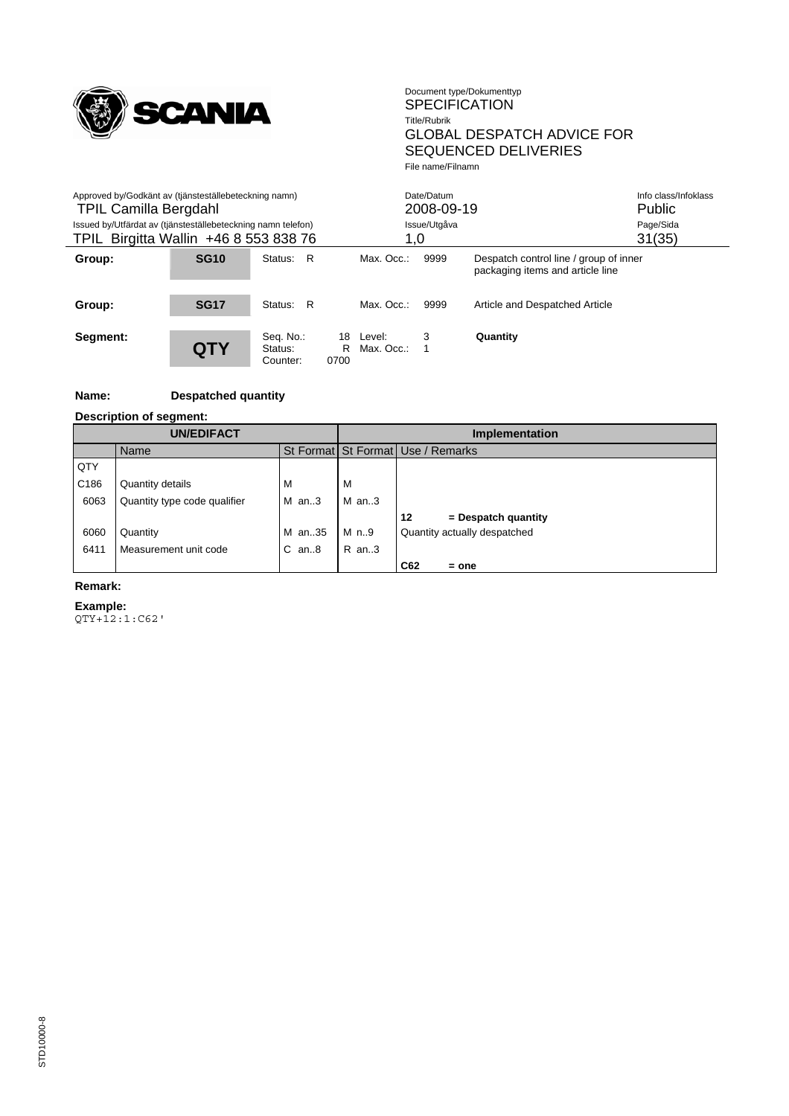

| Approved by/Godkänt av (tjänsteställebeteckning namn)<br><b>TPIL Camilla Bergdahl</b><br>Issued by/Utfärdat av (tjänsteställebeteckning namn telefon)<br>TPIL Birgitta Wallin +46 8 553 838 76 |             |                                  |                 | 1,0                  | Date/Datum<br>2008-09-19<br>Issue/Utgåva |                                                                            | Info class/Infoklass<br><b>Public</b><br>Page/Sida<br>31(35) |
|------------------------------------------------------------------------------------------------------------------------------------------------------------------------------------------------|-------------|----------------------------------|-----------------|----------------------|------------------------------------------|----------------------------------------------------------------------------|--------------------------------------------------------------|
| Group:                                                                                                                                                                                         | <b>SG10</b> | - R<br>Status:                   |                 | Max. Occ.:           | 9999                                     | Despatch control line / group of inner<br>packaging items and article line |                                                              |
| Group:                                                                                                                                                                                         | <b>SG17</b> | - R<br>Status:                   |                 | Max. Occ.:           | 9999                                     | Article and Despatched Article                                             |                                                              |
| Segment:                                                                                                                                                                                       | QTY         | Seq. No.:<br>Status:<br>Counter: | 18<br>R<br>0700 | Level:<br>Max. Occ.: | 3                                        | Quantity                                                                   |                                                              |

# **Name: Despatched quantity**

**Description of segment:**

| <b>UN/EDIFACT</b> |                              |            | <b>Implementation</b> |                                   |  |  |
|-------------------|------------------------------|------------|-----------------------|-----------------------------------|--|--|
|                   | Name                         |            |                       | St Format St Format Use / Remarks |  |  |
| QTY               |                              |            |                       |                                   |  |  |
| C <sub>186</sub>  | Quantity details             | м          | м                     |                                   |  |  |
| 6063              | Quantity type code qualifier | M an3      | $M$ an3               |                                   |  |  |
|                   |                              |            |                       | 12<br>$=$ Despatch quantity       |  |  |
| 6060              | Quantity                     | M an35     | M n.9                 | Quantity actually despatched      |  |  |
| 6411              | Measurement unit code        | $C$ an $8$ | R an3                 |                                   |  |  |
|                   |                              |            |                       | C62<br>$=$ one                    |  |  |

#### **Remark:**

#### **Example:**

QTY+12:1:C62'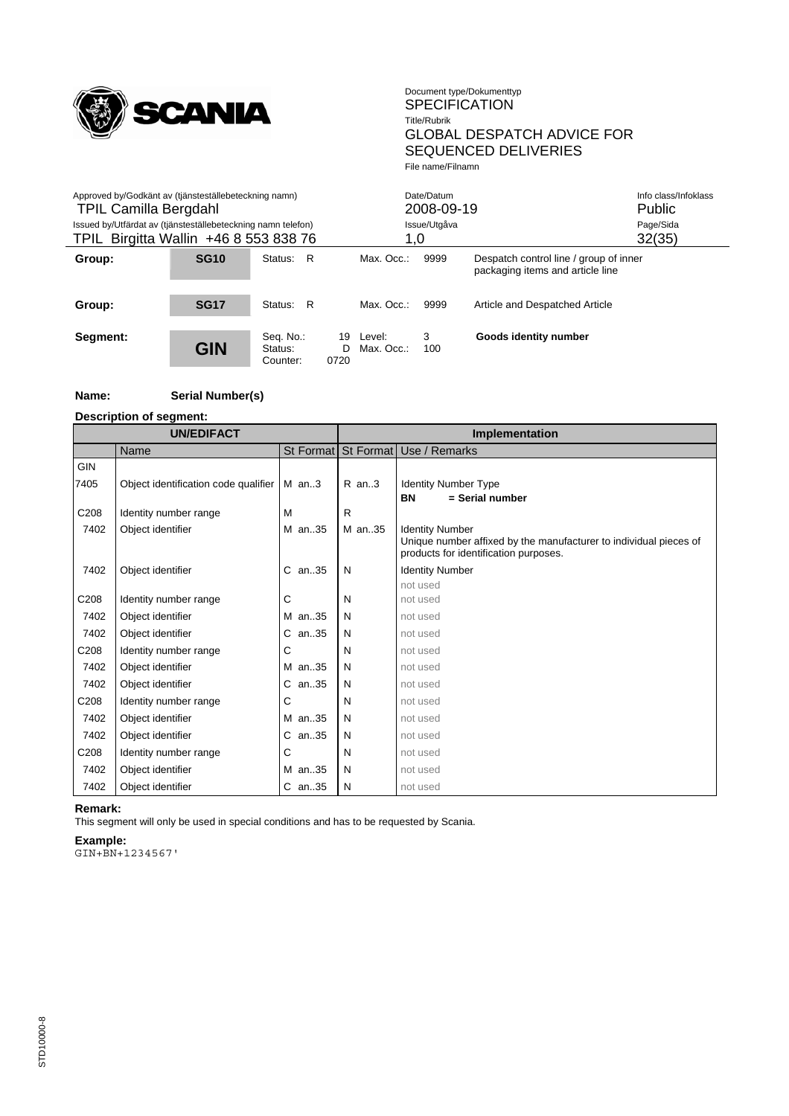

| Approved by/Godkänt av (tjänsteställebeteckning namn)<br><b>TPIL Camilla Bergdahl</b><br>Issued by/Utfärdat av (tjänsteställebeteckning namn telefon)<br>TPIL Birgitta Wallin +46 8 553 838 76 |                  |                                  |                  | 1,0                  | Date/Datum<br>2008-09-19<br>Issue/Utgåva |                                                                            | Info class/Infoklass<br><b>Public</b><br>Page/Sida<br>32(35) |
|------------------------------------------------------------------------------------------------------------------------------------------------------------------------------------------------|------------------|----------------------------------|------------------|----------------------|------------------------------------------|----------------------------------------------------------------------------|--------------------------------------------------------------|
| Group:                                                                                                                                                                                         | SG <sub>10</sub> | R<br>Status:                     |                  | Max. Occ.:           | 9999                                     | Despatch control line / group of inner<br>packaging items and article line |                                                              |
| Group:                                                                                                                                                                                         | <b>SG17</b>      | R<br>Status:                     |                  | Max. Occ.:           | 9999                                     | Article and Despatched Article                                             |                                                              |
| Segment:                                                                                                                                                                                       | <b>GIN</b>       | Seq. No.:<br>Status:<br>Counter: | 19<br>D.<br>0720 | Level:<br>Max. Occ.: | 3<br>100                                 | Goods identity number                                                      |                                                              |

#### **Name: Serial Number(s)**

**Description of segment:**

| <b>UN/EDIFACT</b> |                                      |            |        | Implementation                                                                                             |  |  |
|-------------------|--------------------------------------|------------|--------|------------------------------------------------------------------------------------------------------------|--|--|
|                   | Name                                 |            |        | St Format   St Format   Use / Remarks                                                                      |  |  |
| <b>GIN</b>        |                                      |            |        |                                                                                                            |  |  |
| 7405              | Object identification code qualifier | $M$ an3    | R an3  | <b>Identity Number Type</b>                                                                                |  |  |
|                   |                                      |            |        | <b>BN</b><br>$=$ Serial number                                                                             |  |  |
| C <sub>208</sub>  | Identity number range                | М          | R      |                                                                                                            |  |  |
| 7402              | Object identifier                    | M an35     | M an35 | <b>Identity Number</b>                                                                                     |  |  |
|                   |                                      |            |        | Unique number affixed by the manufacturer to individual pieces of<br>products for identification purposes. |  |  |
| 7402              | Object identifier                    | C an35     | N      | <b>Identity Number</b>                                                                                     |  |  |
|                   |                                      |            |        | not used                                                                                                   |  |  |
| C <sub>208</sub>  | Identity number range                | С          | N      | not used                                                                                                   |  |  |
| 7402              | Object identifier                    | M an35     | N      | not used                                                                                                   |  |  |
| 7402              | Object identifier                    | C an35     | N      | not used                                                                                                   |  |  |
| C <sub>208</sub>  | Identity number range                | С          | N      | not used                                                                                                   |  |  |
| 7402              | Object identifier                    | M an35     | N      | not used                                                                                                   |  |  |
| 7402              | Object identifier                    | $C$ an. 35 | N      | not used                                                                                                   |  |  |
| C <sub>208</sub>  | Identity number range                | С          | N      | not used                                                                                                   |  |  |
| 7402              | Object identifier                    | M an35     | N      | not used                                                                                                   |  |  |
| 7402              | Object identifier                    | $C$ an. 35 | N      | not used                                                                                                   |  |  |
| C <sub>208</sub>  | Identity number range                | С          | N      | not used                                                                                                   |  |  |
| 7402              | Object identifier                    | M an35     | N      | not used                                                                                                   |  |  |
| 7402              | Object identifier                    | C an35     | N      | not used                                                                                                   |  |  |

#### **Remark:**

This segment will only be used in special conditions and has to be requested by Scania.

**Example:**

GIN+BN+1234567'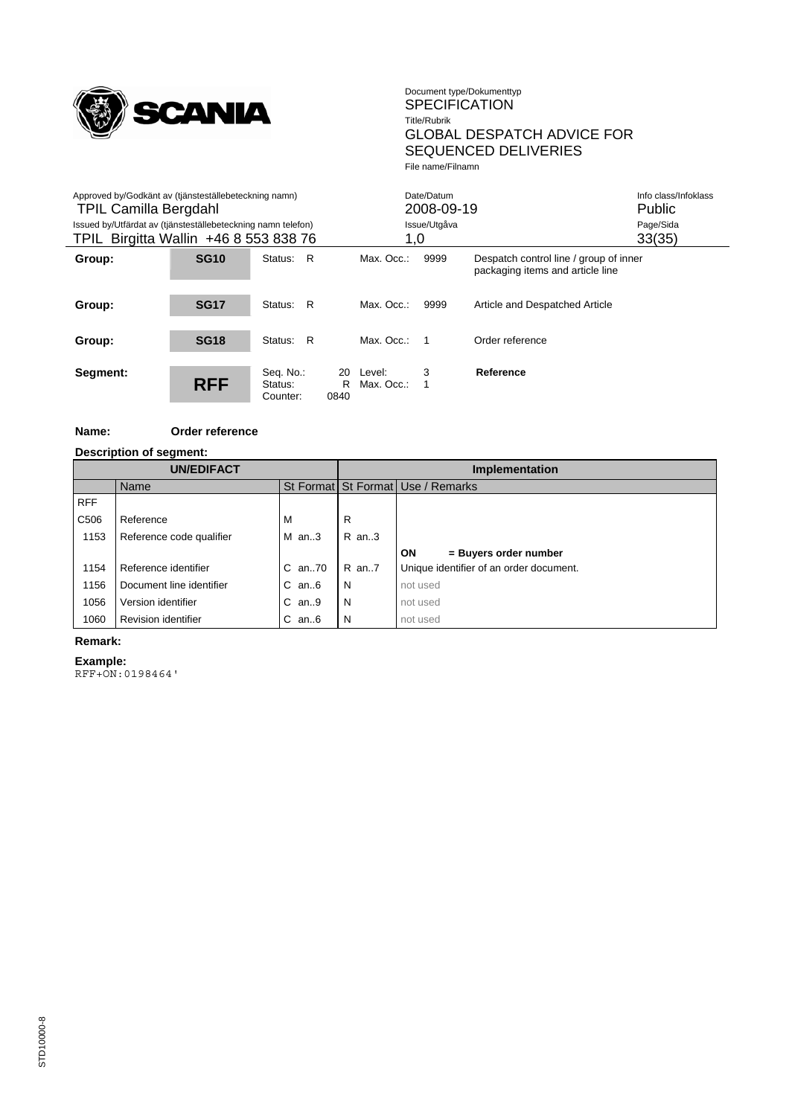

| Approved by/Godkänt av (tjänsteställebeteckning namn)<br><b>TPIL Camilla Bergdahl</b> |                                                                                                       |                                  |                 | Date/Datum<br>2008-09-19 |              | Info class/Infoklass<br>Public                                             |           |
|---------------------------------------------------------------------------------------|-------------------------------------------------------------------------------------------------------|----------------------------------|-----------------|--------------------------|--------------|----------------------------------------------------------------------------|-----------|
|                                                                                       | Issued by/Utfärdat av (tjänsteställebeteckning namn telefon)<br>TPIL Birgitta Wallin +46 8 553 838 76 |                                  |                 |                          | Issue/Utgåva |                                                                            | Page/Sida |
|                                                                                       |                                                                                                       |                                  |                 | 1,0                      |              |                                                                            | 33(35)    |
| Group:                                                                                | <b>SG10</b>                                                                                           | - R<br>Status:                   |                 | Max. Occ.:               | 9999         | Despatch control line / group of inner<br>packaging items and article line |           |
| Group:                                                                                | <b>SG17</b>                                                                                           | - R<br>Status:                   |                 | Max. Occ.:               | 9999         | Article and Despatched Article                                             |           |
| Group:                                                                                | <b>SG18</b>                                                                                           | - R<br>Status:                   |                 | Max. Occ.:               |              | Order reference                                                            |           |
| Segment:                                                                              | <b>RFF</b>                                                                                            | Seq. No.:<br>Status:<br>Counter: | 20<br>R<br>0840 | Level:<br>Max. Occ.:     | 3            | Reference                                                                  |           |

#### **Name: Order reference**

#### **Description of segment:**

| <b>UN/EDIFACT</b> |                          |              | Implementation |                                         |  |  |  |  |
|-------------------|--------------------------|--------------|----------------|-----------------------------------------|--|--|--|--|
|                   | Name                     |              |                | St Format St Format Use / Remarks       |  |  |  |  |
| <b>RFF</b>        |                          |              |                |                                         |  |  |  |  |
| C <sub>506</sub>  | Reference                | м            | R              |                                         |  |  |  |  |
| 1153              | Reference code qualifier | $M$ an3      | $R$ an3        |                                         |  |  |  |  |
|                   |                          |              |                | ON<br>= Buyers order number             |  |  |  |  |
| 1154              | Reference identifier     | $C$ an. $70$ | R an7          | Unique identifier of an order document. |  |  |  |  |
| 1156              | Document line identifier | $C$ an $6$   | N              | not used                                |  |  |  |  |
| 1056              | Version identifier       | $C$ an9      | N              | not used                                |  |  |  |  |
| 1060              | Revision identifier      | $C$ an $6$   | N              | not used                                |  |  |  |  |

#### **Remark:**

# **Example:**

RFF+ON:0198464'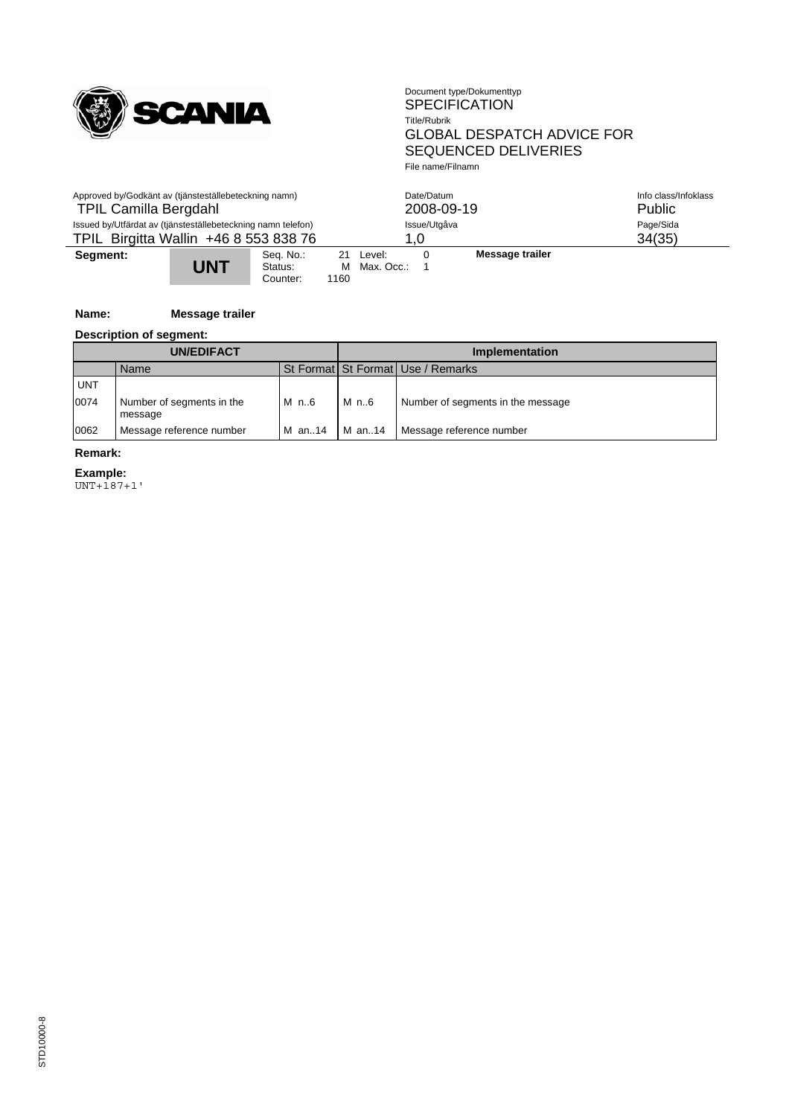

| Approved by/Godkänt av (tjänsteställebeteckning namn)<br><b>TPIL Camilla Bergdahl</b>                 |     |                                  |                     |                           | Date/Datum<br>2008-09-19 |                     | Info class/Infoklass<br>Public |
|-------------------------------------------------------------------------------------------------------|-----|----------------------------------|---------------------|---------------------------|--------------------------|---------------------|--------------------------------|
| Issued by/Utfärdat av (tjänsteställebeteckning namn telefon)<br>TPIL Birgitta Wallin +46 8 553 838 76 |     |                                  | Issue/Utgåva<br>1.0 |                           |                          | Page/Sida<br>34(35) |                                |
| Segment:                                                                                              | UNT | Seq. No.:<br>Status:<br>Counter: | 1160                | 21 Level:<br>M Max. Occ.: | $\Omega$                 | Message trailer     |                                |

# **Name: Message trailer**

**Description of segment:**

| <b>UN/EDIFACT</b> |                                      |        | Implementation |                                   |  |  |
|-------------------|--------------------------------------|--------|----------------|-----------------------------------|--|--|
|                   | Name                                 |        |                | St Format St Format Use / Remarks |  |  |
| <b>UNT</b>        |                                      |        |                |                                   |  |  |
| 0074              | Number of segments in the<br>message | M n6   | M n6           | Number of segments in the message |  |  |
| 0062              | Message reference number             | M an14 | M an14         | Message reference number          |  |  |

#### **Remark:**

**Example:**

UNT+187+1'